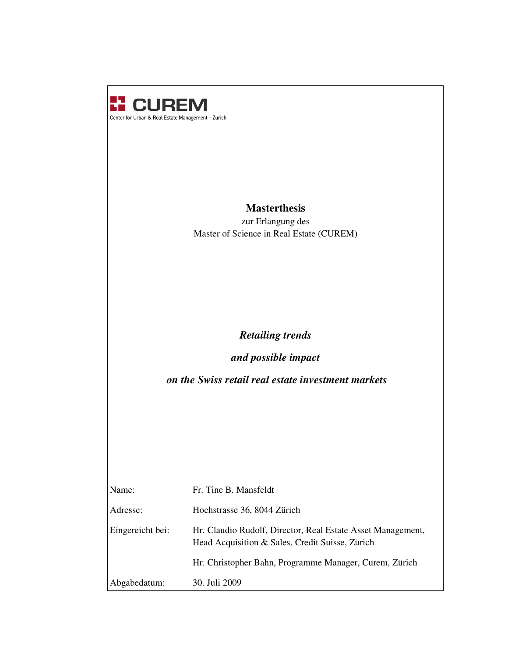

# **Masterthesis**

zur Erlangung des Master of Science in Real Estate (CUREM)

# *Retailing trends*

*and possible impact*

*on the Swiss retail real estate investment markets*

| Name:            | Fr. Tine B. Mansfeldt                                                                                          |
|------------------|----------------------------------------------------------------------------------------------------------------|
| Adresse:         | Hochstrasse 36, 8044 Zürich                                                                                    |
| Eingereicht bei: | Hr. Claudio Rudolf, Director, Real Estate Asset Management,<br>Head Acquisition & Sales, Credit Suisse, Zürich |
|                  | Hr. Christopher Bahn, Programme Manager, Curem, Zürich                                                         |
| Abgabedatum:     | 30. Juli 2009                                                                                                  |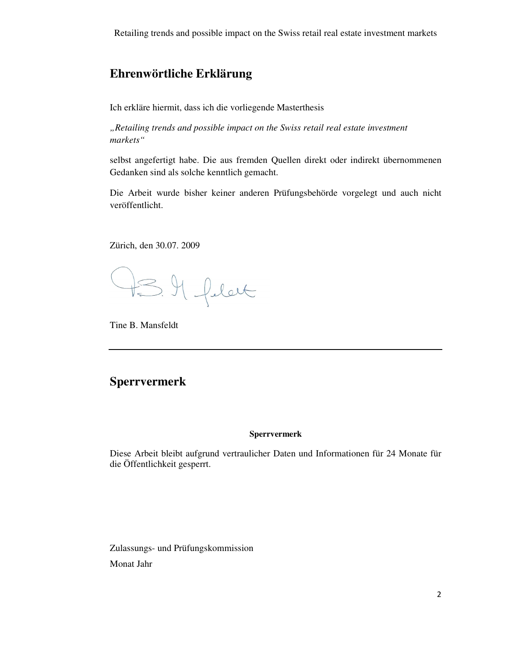Retailing trends and possible impact on the Swiss retail real estate investment markets

# **Ehrenwörtliche Erklärung**

Ich erkläre hiermit, dass ich die vorliegende Masterthesis

*"Retailing trends and possible impact on the Swiss retail real estate investment markets"*

selbst angefertigt habe. Die aus fremden Quellen direkt oder indirekt übernommenen Gedanken sind als solche kenntlich gemacht.

Die Arbeit wurde bisher keiner anderen Prüfungsbehörde vorgelegt und auch nicht veröffentlicht.

Zürich, den 30.07. 2009

IS. Il felat

Tine B. Mansfeldt

# **Sperrvermerk**

#### **Sperrvermerk**

Diese Arbeit bleibt aufgrund vertraulicher Daten und Informationen für 24 Monate für die Öffentlichkeit gesperrt.

Zulassungs- und Prüfungskommission Monat Jahr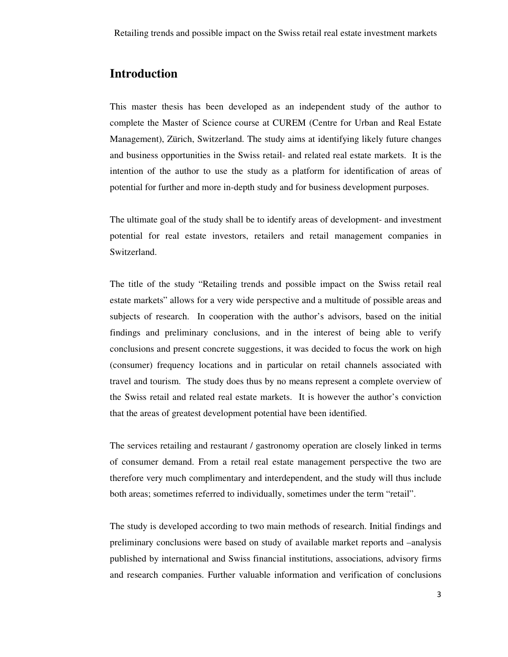# **Introduction**

This master thesis has been developed as an independent study of the author to complete the Master of Science course at CUREM (Centre for Urban and Real Estate Management), Zürich, Switzerland. The study aims at identifying likely future changes and business opportunities in the Swiss retail- and related real estate markets. It is the intention of the author to use the study as a platform for identification of areas of potential for further and more in-depth study and for business development purposes.

The ultimate goal of the study shall be to identify areas of development- and investment potential for real estate investors, retailers and retail management companies in Switzerland.

The title of the study "Retailing trends and possible impact on the Swiss retail real estate markets" allows for a very wide perspective and a multitude of possible areas and subjects of research. In cooperation with the author's advisors, based on the initial findings and preliminary conclusions, and in the interest of being able to verify conclusions and present concrete suggestions, it was decided to focus the work on high (consumer) frequency locations and in particular on retail channels associated with travel and tourism. The study does thus by no means represent a complete overview of the Swiss retail and related real estate markets. It is however the author's conviction that the areas of greatest development potential have been identified.

The services retailing and restaurant / gastronomy operation are closely linked in terms of consumer demand. From a retail real estate management perspective the two are therefore very much complimentary and interdependent, and the study will thus include both areas; sometimes referred to individually, sometimes under the term "retail".

The study is developed according to two main methods of research. Initial findings and preliminary conclusions were based on study of available market reports and –analysis published by international and Swiss financial institutions, associations, advisory firms and research companies. Further valuable information and verification of conclusions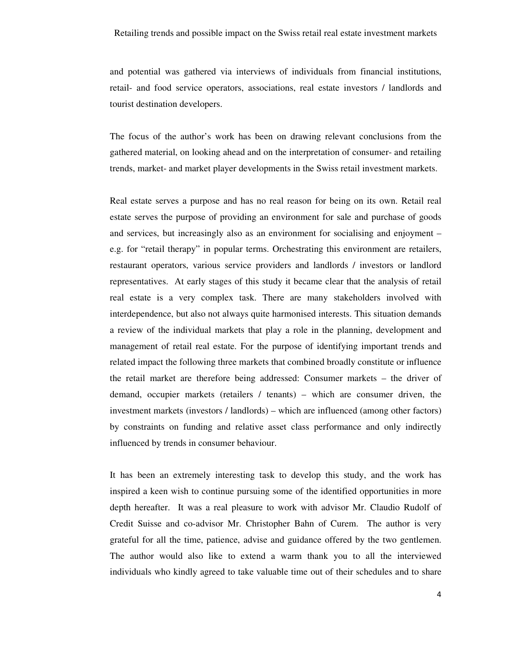and potential was gathered via interviews of individuals from financial institutions, retail- and food service operators, associations, real estate investors / landlords and tourist destination developers.

The focus of the author's work has been on drawing relevant conclusions from the gathered material, on looking ahead and on the interpretation of consumer- and retailing trends, market- and market player developments in the Swiss retail investment markets.

Real estate serves a purpose and has no real reason for being on its own. Retail real estate serves the purpose of providing an environment for sale and purchase of goods and services, but increasingly also as an environment for socialising and enjoyment – e.g. for "retail therapy" in popular terms. Orchestrating this environment are retailers, restaurant operators, various service providers and landlords / investors or landlord representatives. At early stages of this study it became clear that the analysis of retail real estate is a very complex task. There are many stakeholders involved with interdependence, but also not always quite harmonised interests. This situation demands a review of the individual markets that play a role in the planning, development and management of retail real estate. For the purpose of identifying important trends and related impact the following three markets that combined broadly constitute or influence the retail market are therefore being addressed: Consumer markets – the driver of demand, occupier markets (retailers / tenants) – which are consumer driven, the investment markets (investors / landlords) – which are influenced (among other factors) by constraints on funding and relative asset class performance and only indirectly influenced by trends in consumer behaviour.

It has been an extremely interesting task to develop this study, and the work has inspired a keen wish to continue pursuing some of the identified opportunities in more depth hereafter. It was a real pleasure to work with advisor Mr. Claudio Rudolf of Credit Suisse and co-advisor Mr. Christopher Bahn of Curem. The author is very grateful for all the time, patience, advise and guidance offered by the two gentlemen. The author would also like to extend a warm thank you to all the interviewed individuals who kindly agreed to take valuable time out of their schedules and to share

 $\overline{4}$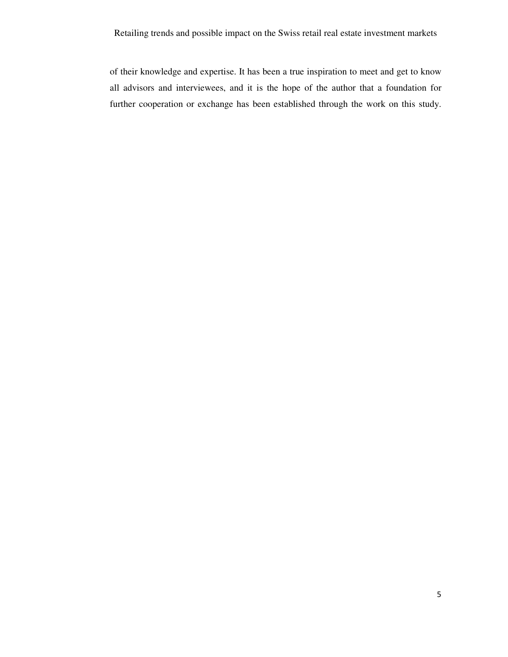of their knowledge and expertise. It has been a true inspiration to meet and get to know all advisors and interviewees, and it is the hope of the author that a foundation for further cooperation or exchange has been established through the work on this study.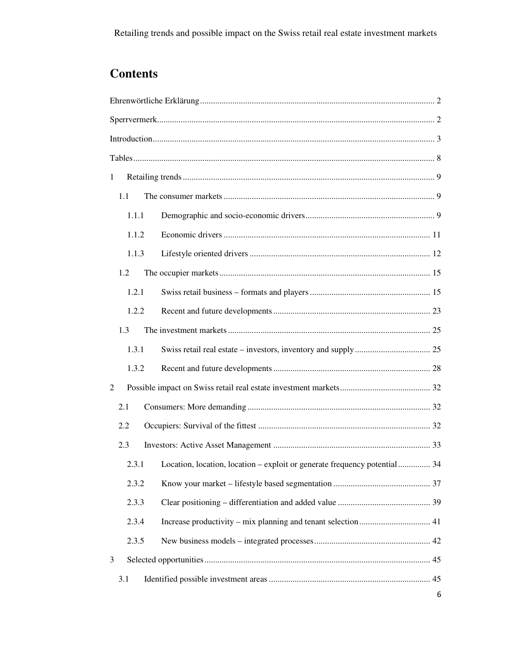# **Contents**

| 1 |       |                                                                                 |
|---|-------|---------------------------------------------------------------------------------|
|   | 1.1   |                                                                                 |
|   | 1.1.1 |                                                                                 |
|   | 1.1.2 |                                                                                 |
|   | 1.1.3 |                                                                                 |
|   | 1.2   |                                                                                 |
|   | 1.2.1 |                                                                                 |
|   | 1.2.2 |                                                                                 |
|   | 1.3   |                                                                                 |
|   | 1.3.1 |                                                                                 |
|   | 1.3.2 |                                                                                 |
| 2 |       |                                                                                 |
|   | 2.1   |                                                                                 |
|   | 2.2   |                                                                                 |
|   | 2.3   |                                                                                 |
|   |       | 2.3.1 Location, location, location – exploit or generate frequency potential 34 |
|   | 2.3.2 |                                                                                 |
|   | 2.3.3 |                                                                                 |
|   | 2.3.4 |                                                                                 |
|   | 2.3.5 |                                                                                 |
| 3 |       |                                                                                 |
|   | 3.1   |                                                                                 |
|   |       | 6                                                                               |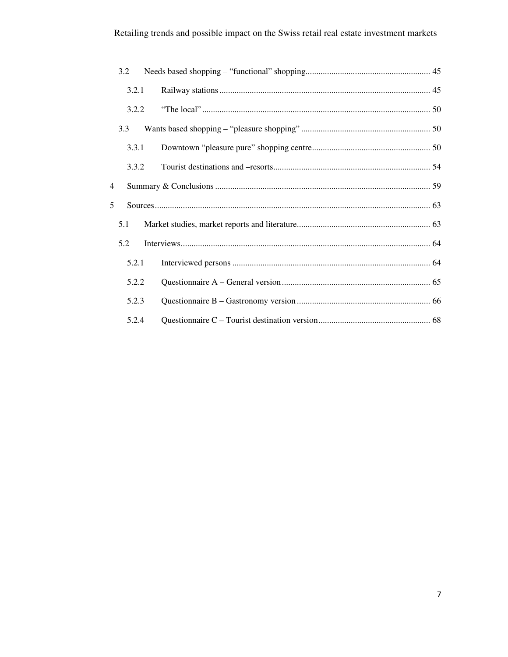# Retailing trends and possible impact on the Swiss retail real estate investment markets

| 3.2            |  |
|----------------|--|
| 3.2.1          |  |
| 3.2.2          |  |
| 3.3            |  |
| 3.3.1          |  |
| 3.3.2          |  |
| $\overline{4}$ |  |
| 5              |  |
| 5.1            |  |
| 5.2            |  |
| 5.2.1          |  |
| 5.2.2          |  |
| 5.2.3          |  |
|                |  |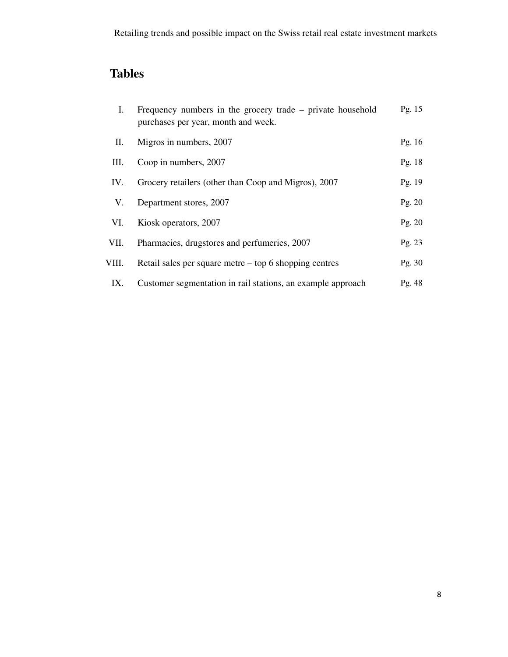# **Tables**

| I.    | Frequency numbers in the grocery trade – private household<br>purchases per year, month and week. | Pg. $15$ |
|-------|---------------------------------------------------------------------------------------------------|----------|
| П.    | Migros in numbers, 2007                                                                           | Pg. $16$ |
| Ш.    | Coop in numbers, 2007                                                                             | Pg. 18   |
| IV.   | Grocery retailers (other than Coop and Migros), 2007                                              | Pg. 19   |
| V.    | Department stores, 2007                                                                           | Pg. $20$ |
| VI.   | Kiosk operators, 2007                                                                             | Pg. 20   |
| VII.  | Pharmacies, drugstores and perfumeries, 2007                                                      | Pg. 23   |
| VIII. | Retail sales per square metre $-$ top 6 shopping centres                                          | Pg. 30   |
| IX.   | Customer segmentation in rail stations, an example approach                                       | Pg. 48   |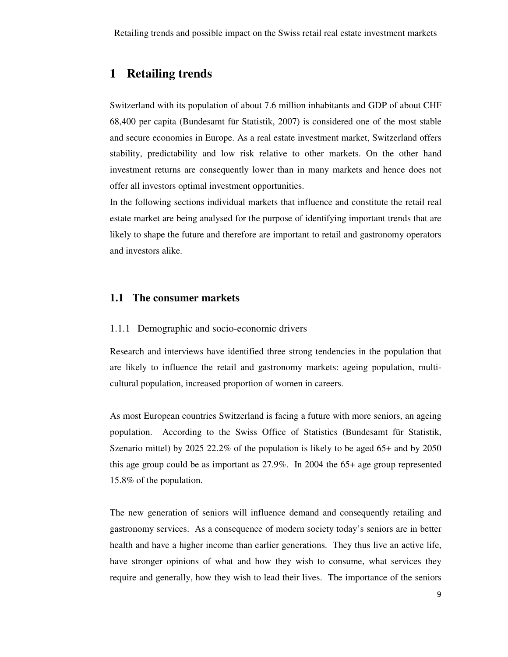# **1 Retailing trends**

Switzerland with its population of about 7.6 million inhabitants and GDP of about CHF 68,400 per capita (Bundesamt für Statistik, 2007) is considered one of the most stable and secure economies in Europe. As a real estate investment market, Switzerland offers stability, predictability and low risk relative to other markets. On the other hand investment returns are consequently lower than in many markets and hence does not offer all investors optimal investment opportunities.

In the following sections individual markets that influence and constitute the retail real estate market are being analysed for the purpose of identifying important trends that are likely to shape the future and therefore are important to retail and gastronomy operators and investors alike.

### **1.1 The consumer markets**

### 1.1.1 Demographic and socio-economic drivers

Research and interviews have identified three strong tendencies in the population that are likely to influence the retail and gastronomy markets: ageing population, multicultural population, increased proportion of women in careers.

As most European countries Switzerland is facing a future with more seniors, an ageing population. According to the Swiss Office of Statistics (Bundesamt für Statistik, Szenario mittel) by 2025 22.2% of the population is likely to be aged 65+ and by 2050 this age group could be as important as 27.9%. In 2004 the 65+ age group represented 15.8% of the population.

The new generation of seniors will influence demand and consequently retailing and gastronomy services. As a consequence of modern society today's seniors are in better health and have a higher income than earlier generations. They thus live an active life, have stronger opinions of what and how they wish to consume, what services they require and generally, how they wish to lead their lives. The importance of the seniors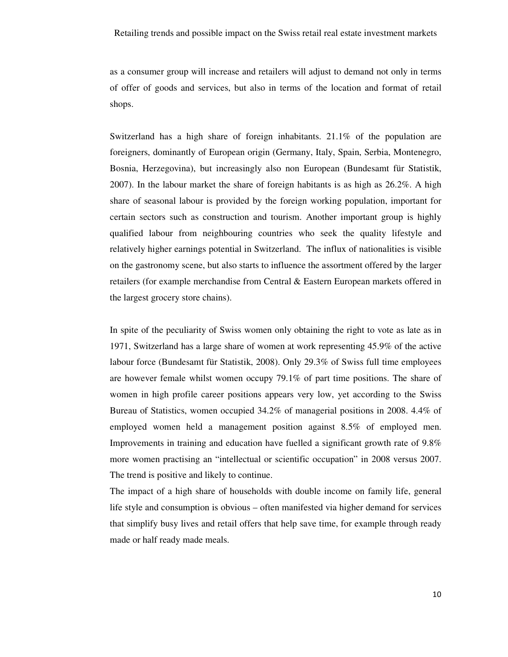as a consumer group will increase and retailers will adjust to demand not only in terms of offer of goods and services, but also in terms of the location and format of retail shops.

Switzerland has a high share of foreign inhabitants. 21.1% of the population are foreigners, dominantly of European origin (Germany, Italy, Spain, Serbia, Montenegro, Bosnia, Herzegovina), but increasingly also non European (Bundesamt für Statistik, 2007). In the labour market the share of foreign habitants is as high as 26.2%. A high share of seasonal labour is provided by the foreign working population, important for certain sectors such as construction and tourism. Another important group is highly qualified labour from neighbouring countries who seek the quality lifestyle and relatively higher earnings potential in Switzerland. The influx of nationalities is visible on the gastronomy scene, but also starts to influence the assortment offered by the larger retailers (for example merchandise from Central & Eastern European markets offered in the largest grocery store chains).

In spite of the peculiarity of Swiss women only obtaining the right to vote as late as in 1971, Switzerland has a large share of women at work representing 45.9% of the active labour force (Bundesamt für Statistik, 2008). Only 29.3% of Swiss full time employees are however female whilst women occupy 79.1% of part time positions. The share of women in high profile career positions appears very low, yet according to the Swiss Bureau of Statistics, women occupied 34.2% of managerial positions in 2008. 4.4% of employed women held a management position against 8.5% of employed men. Improvements in training and education have fuelled a significant growth rate of 9.8% more women practising an "intellectual or scientific occupation" in 2008 versus 2007. The trend is positive and likely to continue.

The impact of a high share of households with double income on family life, general life style and consumption is obvious – often manifested via higher demand for services that simplify busy lives and retail offers that help save time, for example through ready made or half ready made meals.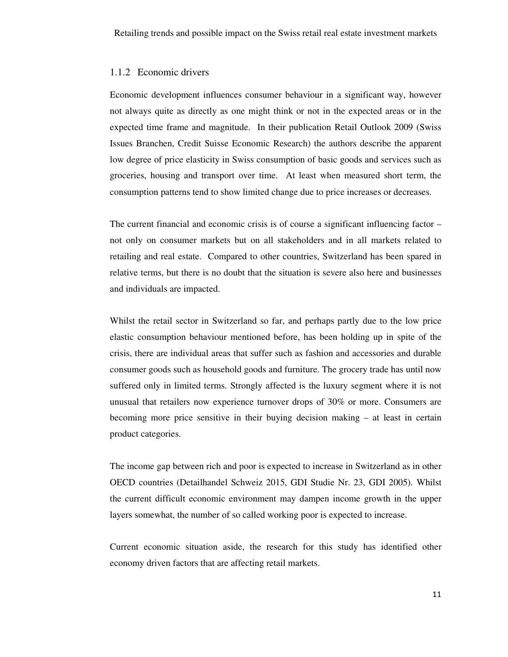#### 1.1.2 Economic drivers

Economic development influences consumer behaviour in a significant way, however not always quite as directly as one might think or not in the expected areas or in the expected time frame and magnitude. In their publication Retail Outlook 2009 (Swiss Issues Branchen, Credit Suisse Economic Research) the authors describe the apparent low degree of price elasticity in Swiss consumption of basic goods and services such as groceries, housing and transport over time. At least when measured short term, the consumption patterns tend to show limited change due to price increases or decreases.

The current financial and economic crisis is of course a significant influencing factor – not only on consumer markets but on all stakeholders and in all markets related to retailing and real estate. Compared to other countries, Switzerland has been spared in relative terms, but there is no doubt that the situation is severe also here and businesses and individuals are impacted.

Whilst the retail sector in Switzerland so far, and perhaps partly due to the low price elastic consumption behaviour mentioned before, has been holding up in spite of the crisis, there are individual areas that suffer such as fashion and accessories and durable consumer goods such as household goods and furniture. The grocery trade has until now suffered only in limited terms. Strongly affected is the luxury segment where it is not unusual that retailers now experience turnover drops of 30% or more. Consumers are becoming more price sensitive in their buying decision making – at least in certain product categories.

The income gap between rich and poor is expected to increase in Switzerland as in other OECD countries (Detailhandel Schweiz 2015, GDI Studie Nr. 23, GDI 2005). Whilst the current difficult economic environment may dampen income growth in the upper layers somewhat, the number of so called working poor is expected to increase.

Current economic situation aside, the research for this study has identified other economy driven factors that are affecting retail markets.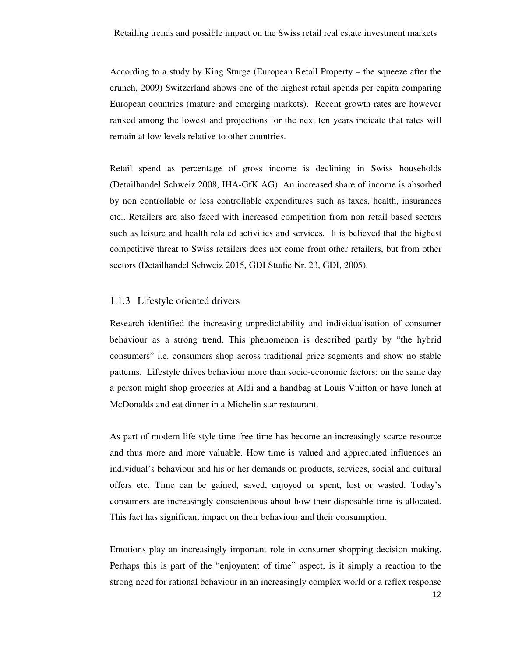According to a study by King Sturge (European Retail Property – the squeeze after the crunch, 2009) Switzerland shows one of the highest retail spends per capita comparing European countries (mature and emerging markets). Recent growth rates are however ranked among the lowest and projections for the next ten years indicate that rates will remain at low levels relative to other countries.

Retail spend as percentage of gross income is declining in Swiss households (Detailhandel Schweiz 2008, IHA-GfK AG). An increased share of income is absorbed by non controllable or less controllable expenditures such as taxes, health, insurances etc.. Retailers are also faced with increased competition from non retail based sectors such as leisure and health related activities and services. It is believed that the highest competitive threat to Swiss retailers does not come from other retailers, but from other sectors (Detailhandel Schweiz 2015, GDI Studie Nr. 23, GDI, 2005).

### 1.1.3 Lifestyle oriented drivers

Research identified the increasing unpredictability and individualisation of consumer behaviour as a strong trend. This phenomenon is described partly by "the hybrid consumers" i.e. consumers shop across traditional price segments and show no stable patterns. Lifestyle drives behaviour more than socio-economic factors; on the same day a person might shop groceries at Aldi and a handbag at Louis Vuitton or have lunch at McDonalds and eat dinner in a Michelin star restaurant.

As part of modern life style time free time has become an increasingly scarce resource and thus more and more valuable. How time is valued and appreciated influences an individual's behaviour and his or her demands on products, services, social and cultural offers etc. Time can be gained, saved, enjoyed or spent, lost or wasted. Today's consumers are increasingly conscientious about how their disposable time is allocated. This fact has significant impact on their behaviour and their consumption.

Emotions play an increasingly important role in consumer shopping decision making. Perhaps this is part of the "enjoyment of time" aspect, is it simply a reaction to the strong need for rational behaviour in an increasingly complex world or a reflex response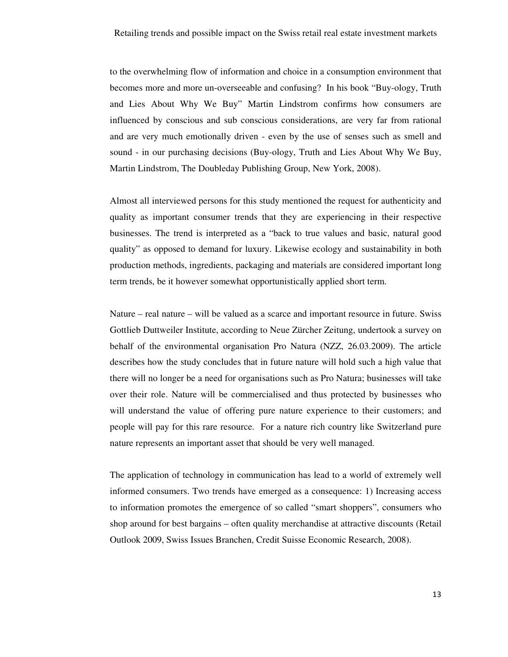to the overwhelming flow of information and choice in a consumption environment that becomes more and more un-overseeable and confusing? In his book "Buy-ology, Truth and Lies About Why We Buy" Martin Lindstrom confirms how consumers are influenced by conscious and sub conscious considerations, are very far from rational and are very much emotionally driven - even by the use of senses such as smell and sound - in our purchasing decisions (Buy-ology, Truth and Lies About Why We Buy, Martin Lindstrom, The Doubleday Publishing Group, New York, 2008).

Almost all interviewed persons for this study mentioned the request for authenticity and quality as important consumer trends that they are experiencing in their respective businesses. The trend is interpreted as a "back to true values and basic, natural good quality" as opposed to demand for luxury. Likewise ecology and sustainability in both production methods, ingredients, packaging and materials are considered important long term trends, be it however somewhat opportunistically applied short term.

Nature – real nature – will be valued as a scarce and important resource in future. Swiss Gottlieb Duttweiler Institute, according to Neue Zürcher Zeitung, undertook a survey on behalf of the environmental organisation Pro Natura (NZZ, 26.03.2009). The article describes how the study concludes that in future nature will hold such a high value that there will no longer be a need for organisations such as Pro Natura; businesses will take over their role. Nature will be commercialised and thus protected by businesses who will understand the value of offering pure nature experience to their customers; and people will pay for this rare resource. For a nature rich country like Switzerland pure nature represents an important asset that should be very well managed.

The application of technology in communication has lead to a world of extremely well informed consumers. Two trends have emerged as a consequence: 1) Increasing access to information promotes the emergence of so called "smart shoppers", consumers who shop around for best bargains – often quality merchandise at attractive discounts (Retail Outlook 2009, Swiss Issues Branchen, Credit Suisse Economic Research, 2008).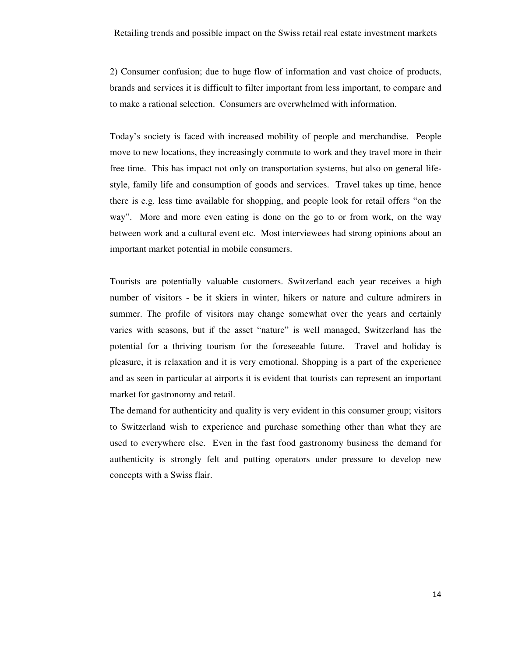2) Consumer confusion; due to huge flow of information and vast choice of products, brands and services it is difficult to filter important from less important, to compare and to make a rational selection. Consumers are overwhelmed with information.

Today's society is faced with increased mobility of people and merchandise. People move to new locations, they increasingly commute to work and they travel more in their free time. This has impact not only on transportation systems, but also on general lifestyle, family life and consumption of goods and services. Travel takes up time, hence there is e.g. less time available for shopping, and people look for retail offers "on the way". More and more even eating is done on the go to or from work, on the way between work and a cultural event etc. Most interviewees had strong opinions about an important market potential in mobile consumers.

Tourists are potentially valuable customers. Switzerland each year receives a high number of visitors - be it skiers in winter, hikers or nature and culture admirers in summer. The profile of visitors may change somewhat over the years and certainly varies with seasons, but if the asset "nature" is well managed, Switzerland has the potential for a thriving tourism for the foreseeable future. Travel and holiday is pleasure, it is relaxation and it is very emotional. Shopping is a part of the experience and as seen in particular at airports it is evident that tourists can represent an important market for gastronomy and retail.

The demand for authenticity and quality is very evident in this consumer group; visitors to Switzerland wish to experience and purchase something other than what they are used to everywhere else. Even in the fast food gastronomy business the demand for authenticity is strongly felt and putting operators under pressure to develop new concepts with a Swiss flair.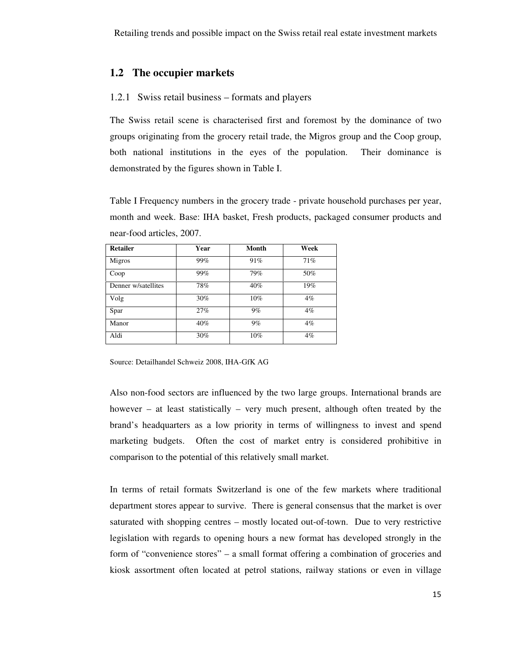### **1.2 The occupier markets**

### 1.2.1 Swiss retail business – formats and players

The Swiss retail scene is characterised first and foremost by the dominance of two groups originating from the grocery retail trade, the Migros group and the Coop group, both national institutions in the eyes of the population. Their dominance is demonstrated by the figures shown in Table I.

Table I Frequency numbers in the grocery trade - private household purchases per year, month and week. Base: IHA basket, Fresh products, packaged consumer products and near-food articles, 2007.

| <b>Retailer</b>     | Year | Month | Week  |
|---------------------|------|-------|-------|
| Migros              | 99%  | 91%   | 71%   |
| Coop                | 99%  | 79%   | 50%   |
| Denner w/satellites | 78%  | 40%   | 19%   |
| Volg                | 30%  | 10%   | $4\%$ |
| Spar                | 27%  | $9\%$ | $4\%$ |
| Manor               | 40%  | $9\%$ | $4\%$ |
| Aldi                | 30%  | 10%   | $4\%$ |

Source: Detailhandel Schweiz 2008, IHA-GfK AG

Also non-food sectors are influenced by the two large groups. International brands are however – at least statistically – very much present, although often treated by the brand's headquarters as a low priority in terms of willingness to invest and spend marketing budgets. Often the cost of market entry is considered prohibitive in comparison to the potential of this relatively small market.

In terms of retail formats Switzerland is one of the few markets where traditional department stores appear to survive. There is general consensus that the market is over saturated with shopping centres – mostly located out-of-town. Due to very restrictive legislation with regards to opening hours a new format has developed strongly in the form of "convenience stores" – a small format offering a combination of groceries and kiosk assortment often located at petrol stations, railway stations or even in village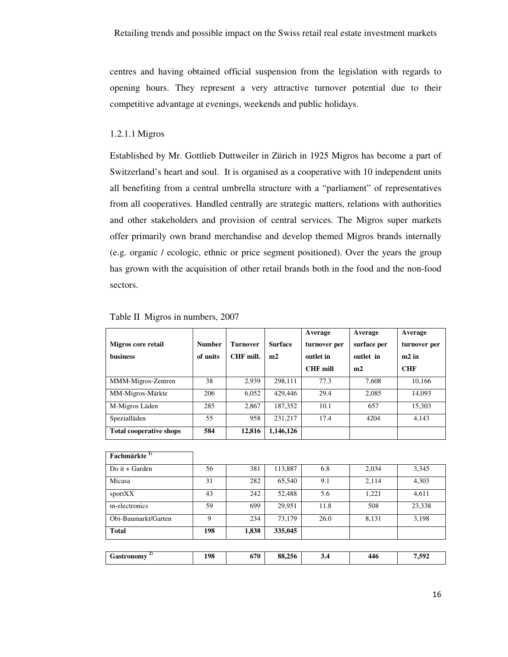centres and having obtained official suspension from the legislation with regards to opening hours. They represent a very attractive turnover potential due to their competitive advantage at evenings, weekends and public holidays.

#### 1.2.1.1 Migros

Established by Mr. Gottlieb Duttweiler in Zürich in 1925 Migros has become a part of Switzerland's heart and soul. It is organised as a cooperative with 10 independent units all benefiting from a central umbrella structure with a "parliament" of representatives from all cooperatives. Handled centrally are strategic matters, relations with authorities and other stakeholders and provision of central services. The Migros super markets offer primarily own brand merchandise and develop themed Migros brands internally (e.g. organic / ecologic, ethnic or price segment positioned). Over the years the group has grown with the acquisition of other retail brands both in the food and the non-food sectors.

| Migros core retail<br><b>business</b> | <b>Number</b><br>of units | <b>Turnover</b><br>CHF mill. | <b>Surface</b><br>m2 | Average<br>turnover per<br>outlet in<br><b>CHF</b> mill | Average<br>surface per<br>outlet in<br>m2 | Average<br>turnover per<br>$m2$ in<br><b>CHF</b> |
|---------------------------------------|---------------------------|------------------------------|----------------------|---------------------------------------------------------|-------------------------------------------|--------------------------------------------------|
| MMM-Migros-Zentren                    | 38                        | 2,939                        | 298.111              | 77.3                                                    | 7.608                                     | 10,166                                           |
| MM-Migros-Märkte                      | 206                       | 6,052                        | 429,446              | 29.4                                                    | 2,085                                     | 14,093                                           |
| M-Migros Läden                        | 285                       | 2,867                        | 187,352              | 10.1                                                    | 657                                       | 15,303                                           |
| Spezialläden                          | 55                        | 958                          | 231,217              | 17.4                                                    | 4204                                      | 4,143                                            |
| <b>Total cooperative shops</b>        | 584                       | 12,816                       | 1,146,126            |                                                         |                                           |                                                  |

| Table II Migros in numbers, 2007 |  |  |
|----------------------------------|--|--|
|                                  |  |  |

| Fachmärkte <sup>1)</sup> |     |       |         |      |       |        |
|--------------------------|-----|-------|---------|------|-------|--------|
| Do it + Garden           | 56  | 381   | 113,887 | 6.8  | 2,034 | 3,345  |
| Micasa                   | 31  | 282   | 65,540  | 9.1  | 2,114 | 4,303  |
| sportXX                  | 43  | 242   | 52,488  | 5.6  | 1,221 | 4,611  |
| m-electronics            | 59  | 699   | 29,951  | 11.8 | 508   | 23,338 |
| Obi-Baumarkt/Garten      | 9   | 234   | 73,179  | 26.0 | 8,131 | 3,198  |
| <b>Total</b>             | 198 | 1,838 | 335,045 |      |       |        |
|                          |     |       |         |      |       |        |
| <b>Gastronomy</b>        | 198 | 670   | 88,256  | 3.4  | 446   | 7,592  |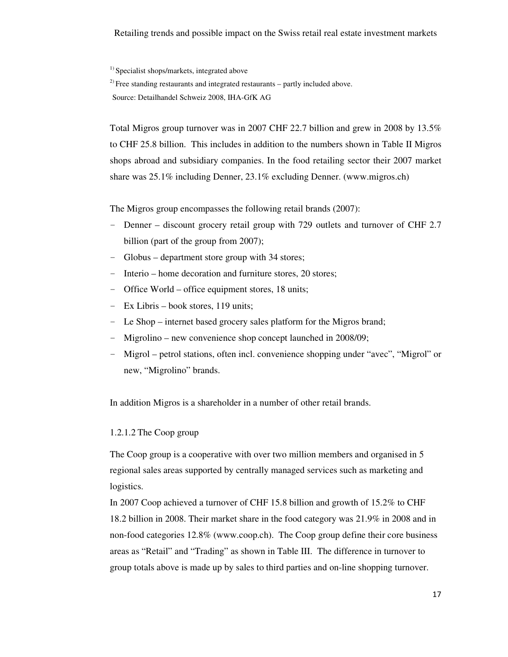### Retailing trends and possible impact on the Swiss retail real estate investment markets

<sup>1)</sup> Specialist shops/markets, integrated above

 $^{2)}$  Free standing restaurants and integrated restaurants – partly included above.

Source: Detailhandel Schweiz 2008, IHA-GfK AG

Total Migros group turnover was in 2007 CHF 22.7 billion and grew in 2008 by 13.5% to CHF 25.8 billion. This includes in addition to the numbers shown in Table II Migros shops abroad and subsidiary companies. In the food retailing sector their 2007 market share was 25.1% including Denner, 23.1% excluding Denner. (www.migros.ch)

The Migros group encompasses the following retail brands (2007):

- Denner discount grocery retail group with 729 outlets and turnover of CHF 2.7 billion (part of the group from 2007);
- Globus department store group with 34 stores;
- Interio home decoration and furniture stores, 20 stores;
- Office World office equipment stores, 18 units;
- Ex Libris book stores, 119 units;
- Le Shop internet based grocery sales platform for the Migros brand;
- Migrolino new convenience shop concept launched in 2008/09;
- Migrol petrol stations, often incl. convenience shopping under "avec", "Migrol" or new, "Migrolino" brands.

In addition Migros is a shareholder in a number of other retail brands.

### 1.2.1.2 The Coop group

The Coop group is a cooperative with over two million members and organised in 5 regional sales areas supported by centrally managed services such as marketing and logistics.

In 2007 Coop achieved a turnover of CHF 15.8 billion and growth of 15.2% to CHF 18.2 billion in 2008. Their market share in the food category was 21.9% in 2008 and in non-food categories 12.8% (www.coop.ch). The Coop group define their core business areas as "Retail" and "Trading" as shown in Table III. The difference in turnover to group totals above is made up by sales to third parties and on-line shopping turnover.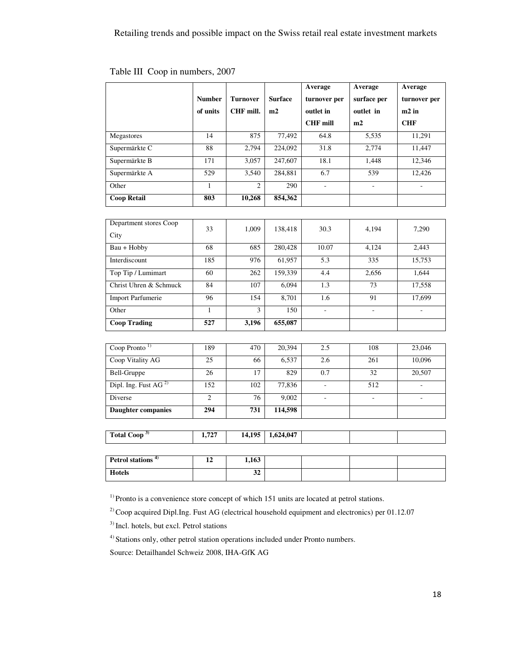|                                  |                  |                 |                | Average         | Average                  | Average           |
|----------------------------------|------------------|-----------------|----------------|-----------------|--------------------------|-------------------|
|                                  | <b>Number</b>    | <b>Turnover</b> | <b>Surface</b> | turnover per    | surface per              | turnover per      |
|                                  | of units         | CHF mill.       | m2             | outlet in       | outlet in                | m <sub>2</sub> in |
|                                  |                  |                 |                | <b>CHF</b> mill | m2                       | <b>CHF</b>        |
| Megastores                       | $\overline{14}$  | 875             | 77,492         | 64.8            | 5,535                    | 11,291            |
| Supermärkte C                    | 88               | 2,794           | 224,092        | 31.8            | 2,774                    | 11,447            |
| Supermärkte B                    | 171              | 3,057           | 247,607        | 18.1            | 1,448                    | 12,346            |
| Supermärkte A                    | $\overline{529}$ | 3,540           | 284,881        | 6.7             | 539                      | 12,426            |
| Other                            | $\mathbf{1}$     | $\overline{2}$  | 290            | $\Box$          | $\omega$                 | ÷,                |
| <b>Coop Retail</b>               | 803              | 10,268          | 854,362        |                 |                          |                   |
|                                  |                  |                 |                |                 |                          |                   |
| Department stores Coop           | 33               | 1,009           | 138,418        | 30.3            | 4,194                    | 7,290             |
| City                             |                  |                 |                |                 |                          |                   |
| $B\overline{au + Hobby}$         | 68               | 685             | 280,428        | 10.07           | 4,124                    | 2,443             |
| Interdiscount                    | 185              | 976             | 61,957         | 5.3             | 335                      | 15,753            |
| Top Tip / Lumimart               | 60               | 262             | 159,339        | 4.4             | 2,656                    | 1,644             |
| Christ Uhren & Schmuck           | 84               | 107             | 6,094          | 1.3             | 73                       | 17,558            |
| <b>Import Parfumerie</b>         | 96               | 154             | 8,701          | 1.6             | 91                       | 17,699            |
| Other                            | $\mathbf{1}$     | 3               | 150            |                 |                          |                   |
| <b>Coop Trading</b>              | 527              | 3,196           | 655,087        |                 |                          |                   |
|                                  |                  |                 |                |                 |                          |                   |
| Coop Pronto <sup>1)</sup>        | 189              | 470             | 20,394         | 2.5             | 108                      | 23,046            |
| Coop Vitality AG                 | 25               | 66              | 6,537          | 2.6             | 261                      | 10,096            |
| <b>Bell-Gruppe</b>               | 26               | 17              | 829            | 0.7             | $\overline{32}$          | 20,507            |
| Dipl. Ing. Fust AG <sup>2)</sup> | 152              | 102             | 77,836         | $\omega$        | 512                      | $\sim$            |
| Diverse                          | $\overline{2}$   | 76              | 9,002          | $\sim$          | $\overline{\phantom{a}}$ | ÷.                |
| <b>Daughter companies</b>        | 294              | 731             | 114,598        |                 |                          |                   |
|                                  |                  |                 |                |                 |                          |                   |
| Total Coop <sup>3)</sup>         | 1,727            | 14,195          | 1,624,047      |                 |                          |                   |
|                                  |                  |                 |                |                 |                          |                   |
| Petrol stations <sup>4)</sup>    | 12               | 1,163           |                |                 |                          |                   |
| <b>Hotels</b>                    |                  | $\overline{32}$ |                |                 |                          |                   |

### Table III Coop in numbers, 2007

<sup>1)</sup> Pronto is a convenience store concept of which 151 units are located at petrol stations.

<sup>2)</sup> Coop acquired Dipl.Ing. Fust AG (electrical household equipment and electronics) per 01.12.07

<sup>4)</sup> Stations only, other petrol station operations included under Pronto numbers.

Source: Detailhandel Schweiz 2008, IHA-GfK AG

<sup>&</sup>lt;sup>3)</sup> Incl. hotels, but excl. Petrol stations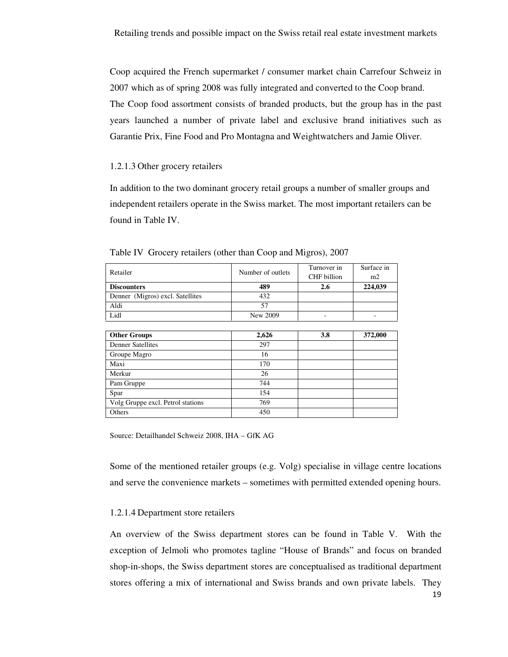Coop acquired the French supermarket / consumer market chain Carrefour Schweiz in 2007 which as of spring 2008 was fully integrated and converted to the Coop brand. The Coop food assortment consists of branded products, but the group has in the past years launched a number of private label and exclusive brand initiatives such as Garantie Prix, Fine Food and Pro Montagna and Weightwatchers and Jamie Oliver.

### 1.2.1.3 Other grocery retailers

In addition to the two dominant grocery retail groups a number of smaller groups and independent retailers operate in the Swiss market. The most important retailers can be found in Table IV.

| Retailer                         | Number of outlets | Turnover in | Surface in |
|----------------------------------|-------------------|-------------|------------|
|                                  |                   | CHF billion | m2         |
| <b>Discounters</b>               | 489               | 2.6         | 224,039    |
| Denner (Migros) excl. Satellites | 432               |             |            |
| Aldi                             | 57                |             |            |
| Lidl                             | New 2009          |             |            |
|                                  |                   |             |            |
| <b>Other Groups</b>              | 2,626             | 3.8         | 372,000    |
| <b>Denner Satellites</b>         | 297               |             |            |
| Groupe Magro                     | 16                |             |            |
| Maxi                             | 170               |             |            |
| Merkur                           | 26                |             |            |
| Pam Gruppe                       |                   |             |            |
|                                  | 744               |             |            |

Table IV Grocery retailers (other than Coop and Migros), 2007

Source: Detailhandel Schweiz 2008, IHA – GfK AG

Volg Gruppe excl. Petrol stations  $\vert$  769 Others 450

Some of the mentioned retailer groups (e.g. Volg) specialise in village centre locations and serve the convenience markets – sometimes with permitted extended opening hours.

#### 1.2.1.4 Department store retailers

An overview of the Swiss department stores can be found in Table V. With the exception of Jelmoli who promotes tagline "House of Brands" and focus on branded shop-in-shops, the Swiss department stores are conceptualised as traditional department stores offering a mix of international and Swiss brands and own private labels. They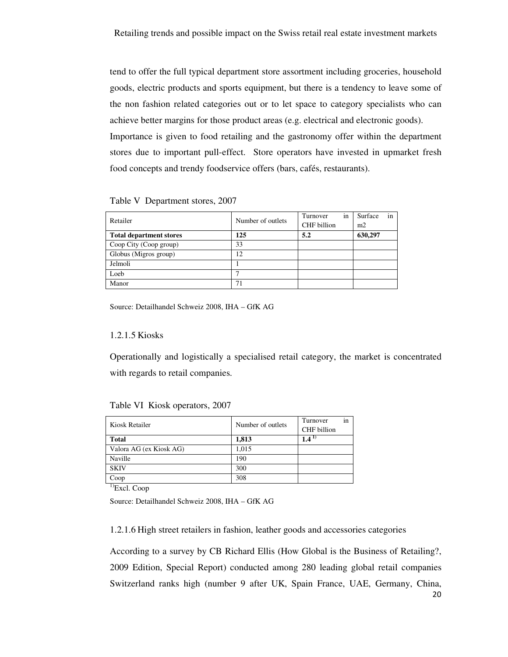tend to offer the full typical department store assortment including groceries, household goods, electric products and sports equipment, but there is a tendency to leave some of the non fashion related categories out or to let space to category specialists who can achieve better margins for those product areas (e.g. electrical and electronic goods). Importance is given to food retailing and the gastronomy offer within the department stores due to important pull-effect. Store operators have invested in upmarket fresh food concepts and trendy foodservice offers (bars, cafés, restaurants).

#### Table V Department stores, 2007

| Retailer                       | Number of outlets | Turnover<br>in<br>CHF billion | in<br>Surface<br>m2 |
|--------------------------------|-------------------|-------------------------------|---------------------|
| <b>Total department stores</b> | 125               | 5.2                           | 630,297             |
| Coop City (Coop group)         | 33                |                               |                     |
| Globus (Migros group)          | 12                |                               |                     |
| Jelmoli                        |                   |                               |                     |
| Loeb                           |                   |                               |                     |
| Manor                          | 71                |                               |                     |

Source: Detailhandel Schweiz 2008, IHA – GfK AG

#### 1.2.1.5 Kiosks

Operationally and logistically a specialised retail category, the market is concentrated with regards to retail companies.

| Kiosk Retailer          | Number of outlets | Turnover<br>CHF billion | in |
|-------------------------|-------------------|-------------------------|----|
| <b>Total</b>            | 1,813             | $1.4^{\texttt{+}}$      |    |
| Valora AG (ex Kiosk AG) | 1,015             |                         |    |
| Naville                 | 190               |                         |    |
| <b>SKIV</b>             | 300               |                         |    |
| Coop                    | 308               |                         |    |

Table VI Kiosk operators, 2007

<sup>1)</sup>Excl. Coop

Source: Detailhandel Schweiz 2008, IHA – GfK AG

1.2.1.6 High street retailers in fashion, leather goods and accessories categories

According to a survey by CB Richard Ellis (How Global is the Business of Retailing?, 2009 Edition, Special Report) conducted among 280 leading global retail companies Switzerland ranks high (number 9 after UK, Spain France, UAE, Germany, China,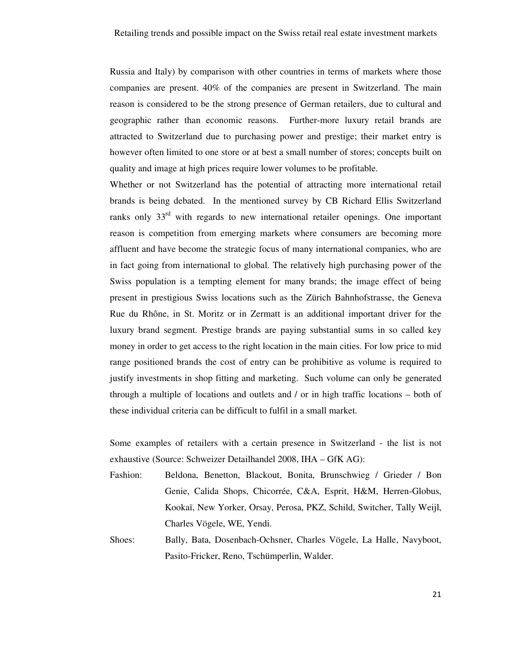Russia and Italy) by comparison with other countries in terms of markets where those companies are present. 40% of the companies are present in Switzerland. The main reason is considered to be the strong presence of German retailers, due to cultural and geographic rather than economic reasons. Further-more luxury retail brands are attracted to Switzerland due to purchasing power and prestige; their market entry is however often limited to one store or at best a small number of stores; concepts built on quality and image at high prices require lower volumes to be profitable.

Whether or not Switzerland has the potential of attracting more international retail brands is being debated. In the mentioned survey by CB Richard Ellis Switzerland ranks only 33<sup>rd</sup> with regards to new international retailer openings. One important reason is competition from emerging markets where consumers are becoming more affluent and have become the strategic focus of many international companies, who are in fact going from international to global. The relatively high purchasing power of the Swiss population is a tempting element for many brands; the image effect of being present in prestigious Swiss locations such as the Zürich Bahnhofstrasse, the Geneva Rue du Rhône, in St. Moritz or in Zermatt is an additional important driver for the luxury brand segment. Prestige brands are paying substantial sums in so called key money in order to get access to the right location in the main cities. For low price to mid range positioned brands the cost of entry can be prohibitive as volume is required to justify investments in shop fitting and marketing. Such volume can only be generated through a multiple of locations and outlets and / or in high traffic locations – both of these individual criteria can be difficult to fulfil in a small market.

Some examples of retailers with a certain presence in Switzerland - the list is not exhaustive (Source: Schweizer Detailhandel 2008, IHA – GfK AG):

- Fashion: Beldona, Benetton, Blackout, Bonita, Brunschwieg / Grieder / Bon Genie, Calida Shops, Chicorrée, C&A, Esprit, H&M, Herren-Globus, Kookaï, New Yorker, Orsay, Perosa, PKZ, Schild, Switcher, Tally Weijl, Charles Vögele, WE, Yendi.
- Shoes: Bally, Bata, Dosenbach-Ochsner, Charles Vögele, La Halle, Navyboot, Pasito-Fricker, Reno, Tschümperlin, Walder.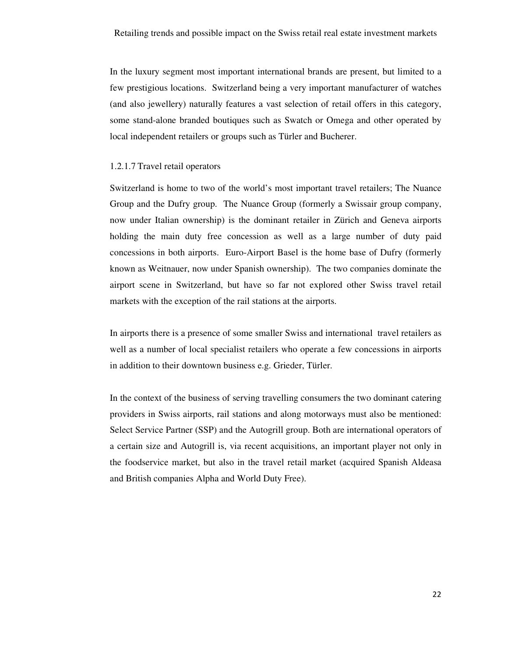In the luxury segment most important international brands are present, but limited to a few prestigious locations. Switzerland being a very important manufacturer of watches (and also jewellery) naturally features a vast selection of retail offers in this category, some stand-alone branded boutiques such as Swatch or Omega and other operated by local independent retailers or groups such as Türler and Bucherer.

#### 1.2.1.7 Travel retail operators

Switzerland is home to two of the world's most important travel retailers; The Nuance Group and the Dufry group. The Nuance Group (formerly a Swissair group company, now under Italian ownership) is the dominant retailer in Zürich and Geneva airports holding the main duty free concession as well as a large number of duty paid concessions in both airports. Euro-Airport Basel is the home base of Dufry (formerly known as Weitnauer, now under Spanish ownership). The two companies dominate the airport scene in Switzerland, but have so far not explored other Swiss travel retail markets with the exception of the rail stations at the airports.

In airports there is a presence of some smaller Swiss and international travel retailers as well as a number of local specialist retailers who operate a few concessions in airports in addition to their downtown business e.g. Grieder, Türler.

In the context of the business of serving travelling consumers the two dominant catering providers in Swiss airports, rail stations and along motorways must also be mentioned: Select Service Partner (SSP) and the Autogrill group. Both are international operators of a certain size and Autogrill is, via recent acquisitions, an important player not only in the foodservice market, but also in the travel retail market (acquired Spanish Aldeasa and British companies Alpha and World Duty Free).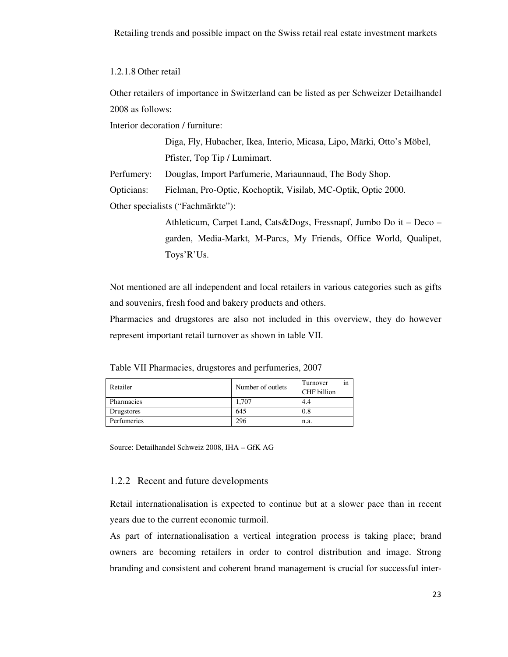1.2.1.8 Other retail

Other retailers of importance in Switzerland can be listed as per Schweizer Detailhandel 2008 as follows:

Interior decoration / furniture:

Diga, Fly, Hubacher, Ikea, Interio, Micasa, Lipo, Märki, Otto's Möbel, Pfister, Top Tip / Lumimart.

Perfumery: Douglas, Import Parfumerie, Mariaunnaud, The Body Shop.

Opticians: Fielman, Pro-Optic, Kochoptik, Visilab, MC-Optik, Optic 2000.

Other specialists ("Fachmärkte"):

Athleticum, Carpet Land, Cats&Dogs, Fressnapf, Jumbo Do it – Deco – garden, Media-Markt, M-Parcs, My Friends, Office World, Qualipet, Toys'R'Us.

Not mentioned are all independent and local retailers in various categories such as gifts and souvenirs, fresh food and bakery products and others.

Pharmacies and drugstores are also not included in this overview, they do however represent important retail turnover as shown in table VII.

Table VII Pharmacies, drugstores and perfumeries, 2007

| Retailer    | Number of outlets | Turnover<br>CHF billion | in |
|-------------|-------------------|-------------------------|----|
| Pharmacies  | 1.707             | 4.4                     |    |
| Drugstores  | 645               | 0.8                     |    |
| Perfumeries | 296               | n.a.                    |    |

Source: Detailhandel Schweiz 2008, IHA – GfK AG

### 1.2.2 Recent and future developments

Retail internationalisation is expected to continue but at a slower pace than in recent years due to the current economic turmoil.

As part of internationalisation a vertical integration process is taking place; brand owners are becoming retailers in order to control distribution and image. Strong branding and consistent and coherent brand management is crucial for successful inter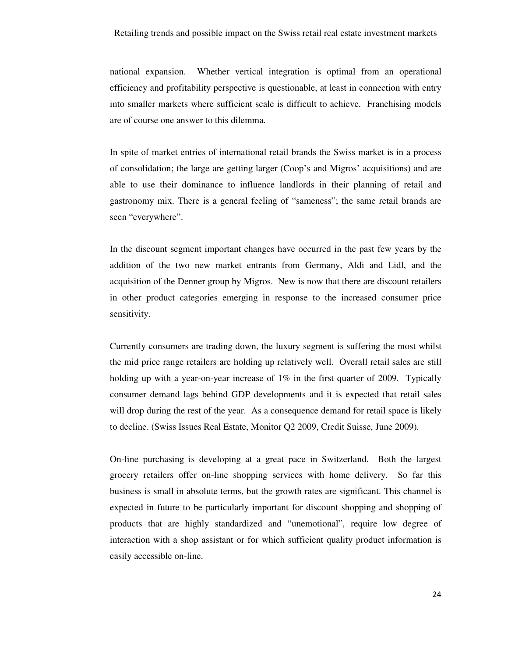national expansion. Whether vertical integration is optimal from an operational efficiency and profitability perspective is questionable, at least in connection with entry into smaller markets where sufficient scale is difficult to achieve. Franchising models are of course one answer to this dilemma.

In spite of market entries of international retail brands the Swiss market is in a process of consolidation; the large are getting larger (Coop's and Migros' acquisitions) and are able to use their dominance to influence landlords in their planning of retail and gastronomy mix. There is a general feeling of "sameness"; the same retail brands are seen "everywhere".

In the discount segment important changes have occurred in the past few years by the addition of the two new market entrants from Germany, Aldi and Lidl, and the acquisition of the Denner group by Migros. New is now that there are discount retailers in other product categories emerging in response to the increased consumer price sensitivity.

Currently consumers are trading down, the luxury segment is suffering the most whilst the mid price range retailers are holding up relatively well. Overall retail sales are still holding up with a year-on-year increase of 1% in the first quarter of 2009. Typically consumer demand lags behind GDP developments and it is expected that retail sales will drop during the rest of the year. As a consequence demand for retail space is likely to decline. (Swiss Issues Real Estate, Monitor Q2 2009, Credit Suisse, June 2009).

On-line purchasing is developing at a great pace in Switzerland. Both the largest grocery retailers offer on-line shopping services with home delivery. So far this business is small in absolute terms, but the growth rates are significant. This channel is expected in future to be particularly important for discount shopping and shopping of products that are highly standardized and "unemotional", require low degree of interaction with a shop assistant or for which sufficient quality product information is easily accessible on-line.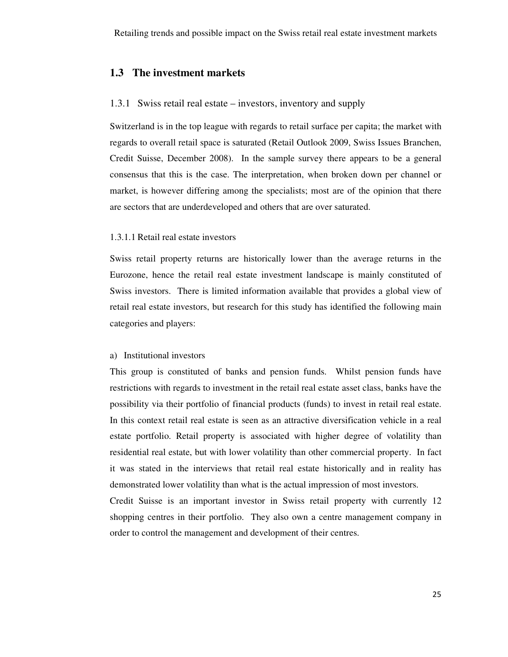### **1.3 The investment markets**

#### 1.3.1 Swiss retail real estate – investors, inventory and supply

Switzerland is in the top league with regards to retail surface per capita; the market with regards to overall retail space is saturated (Retail Outlook 2009, Swiss Issues Branchen, Credit Suisse, December 2008). In the sample survey there appears to be a general consensus that this is the case. The interpretation, when broken down per channel or market, is however differing among the specialists; most are of the opinion that there are sectors that are underdeveloped and others that are over saturated.

### 1.3.1.1 Retail real estate investors

Swiss retail property returns are historically lower than the average returns in the Eurozone, hence the retail real estate investment landscape is mainly constituted of Swiss investors. There is limited information available that provides a global view of retail real estate investors, but research for this study has identified the following main categories and players:

#### a) Institutional investors

This group is constituted of banks and pension funds. Whilst pension funds have restrictions with regards to investment in the retail real estate asset class, banks have the possibility via their portfolio of financial products (funds) to invest in retail real estate. In this context retail real estate is seen as an attractive diversification vehicle in a real estate portfolio. Retail property is associated with higher degree of volatility than residential real estate, but with lower volatility than other commercial property. In fact it was stated in the interviews that retail real estate historically and in reality has demonstrated lower volatility than what is the actual impression of most investors.

Credit Suisse is an important investor in Swiss retail property with currently 12 shopping centres in their portfolio. They also own a centre management company in order to control the management and development of their centres.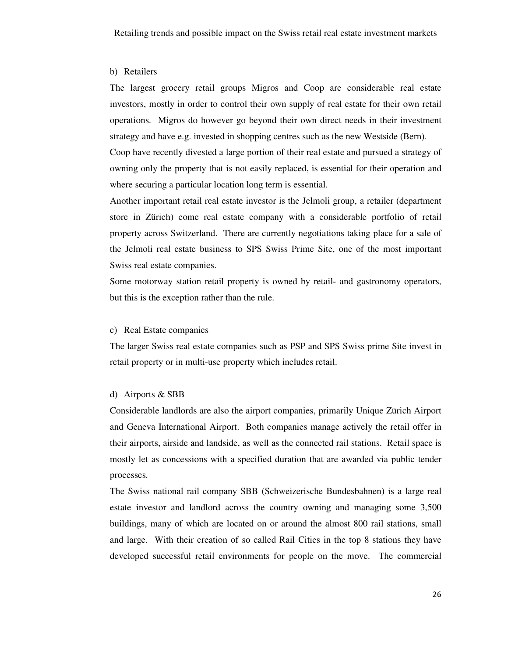#### b) Retailers

The largest grocery retail groups Migros and Coop are considerable real estate investors, mostly in order to control their own supply of real estate for their own retail operations. Migros do however go beyond their own direct needs in their investment strategy and have e.g. invested in shopping centres such as the new Westside (Bern).

Coop have recently divested a large portion of their real estate and pursued a strategy of owning only the property that is not easily replaced, is essential for their operation and where securing a particular location long term is essential.

Another important retail real estate investor is the Jelmoli group, a retailer (department store in Zürich) come real estate company with a considerable portfolio of retail property across Switzerland. There are currently negotiations taking place for a sale of the Jelmoli real estate business to SPS Swiss Prime Site, one of the most important Swiss real estate companies.

Some motorway station retail property is owned by retail- and gastronomy operators, but this is the exception rather than the rule.

### c) Real Estate companies

The larger Swiss real estate companies such as PSP and SPS Swiss prime Site invest in retail property or in multi-use property which includes retail.

### d) Airports & SBB

Considerable landlords are also the airport companies, primarily Unique Zürich Airport and Geneva International Airport. Both companies manage actively the retail offer in their airports, airside and landside, as well as the connected rail stations. Retail space is mostly let as concessions with a specified duration that are awarded via public tender processes.

The Swiss national rail company SBB (Schweizerische Bundesbahnen) is a large real estate investor and landlord across the country owning and managing some 3,500 buildings, many of which are located on or around the almost 800 rail stations, small and large. With their creation of so called Rail Cities in the top 8 stations they have developed successful retail environments for people on the move. The commercial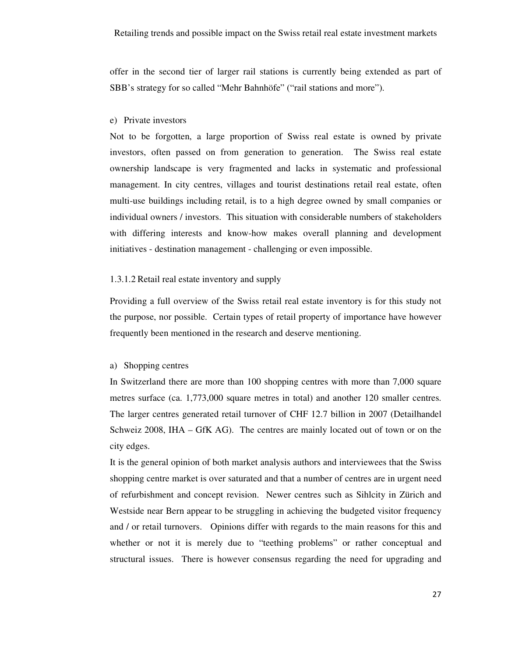offer in the second tier of larger rail stations is currently being extended as part of SBB's strategy for so called "Mehr Bahnhöfe" ("rail stations and more").

#### e) Private investors

Not to be forgotten, a large proportion of Swiss real estate is owned by private investors, often passed on from generation to generation. The Swiss real estate ownership landscape is very fragmented and lacks in systematic and professional management. In city centres, villages and tourist destinations retail real estate, often multi-use buildings including retail, is to a high degree owned by small companies or individual owners / investors. This situation with considerable numbers of stakeholders with differing interests and know-how makes overall planning and development initiatives - destination management - challenging or even impossible.

### 1.3.1.2 Retail real estate inventory and supply

Providing a full overview of the Swiss retail real estate inventory is for this study not the purpose, nor possible. Certain types of retail property of importance have however frequently been mentioned in the research and deserve mentioning.

### a) Shopping centres

In Switzerland there are more than 100 shopping centres with more than 7,000 square metres surface (ca. 1,773,000 square metres in total) and another 120 smaller centres. The larger centres generated retail turnover of CHF 12.7 billion in 2007 (Detailhandel Schweiz 2008, IHA – GfK AG). The centres are mainly located out of town or on the city edges.

It is the general opinion of both market analysis authors and interviewees that the Swiss shopping centre market is over saturated and that a number of centres are in urgent need of refurbishment and concept revision. Newer centres such as Sihlcity in Zürich and Westside near Bern appear to be struggling in achieving the budgeted visitor frequency and / or retail turnovers. Opinions differ with regards to the main reasons for this and whether or not it is merely due to "teething problems" or rather conceptual and structural issues. There is however consensus regarding the need for upgrading and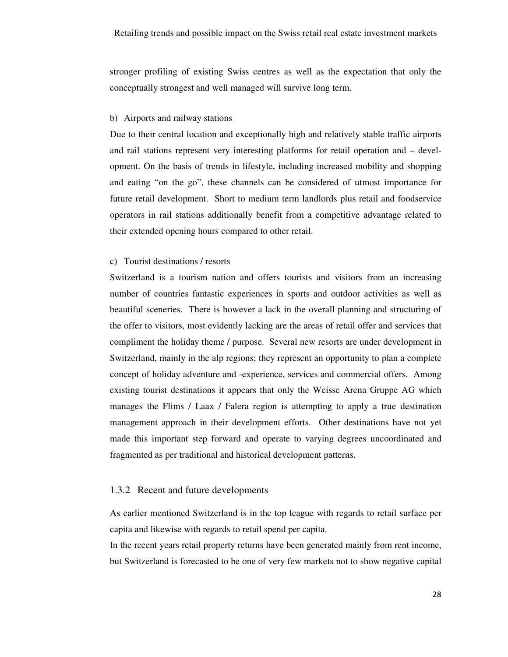stronger profiling of existing Swiss centres as well as the expectation that only the conceptually strongest and well managed will survive long term.

### b) Airports and railway stations

Due to their central location and exceptionally high and relatively stable traffic airports and rail stations represent very interesting platforms for retail operation and – development. On the basis of trends in lifestyle, including increased mobility and shopping and eating "on the go", these channels can be considered of utmost importance for future retail development. Short to medium term landlords plus retail and foodservice operators in rail stations additionally benefit from a competitive advantage related to their extended opening hours compared to other retail.

### c) Tourist destinations / resorts

Switzerland is a tourism nation and offers tourists and visitors from an increasing number of countries fantastic experiences in sports and outdoor activities as well as beautiful sceneries. There is however a lack in the overall planning and structuring of the offer to visitors, most evidently lacking are the areas of retail offer and services that compliment the holiday theme / purpose. Several new resorts are under development in Switzerland, mainly in the alp regions; they represent an opportunity to plan a complete concept of holiday adventure and -experience, services and commercial offers. Among existing tourist destinations it appears that only the Weisse Arena Gruppe AG which manages the Flims / Laax / Falera region is attempting to apply a true destination management approach in their development efforts. Other destinations have not yet made this important step forward and operate to varying degrees uncoordinated and fragmented as per traditional and historical development patterns.

### 1.3.2 Recent and future developments

As earlier mentioned Switzerland is in the top league with regards to retail surface per capita and likewise with regards to retail spend per capita.

In the recent years retail property returns have been generated mainly from rent income, but Switzerland is forecasted to be one of very few markets not to show negative capital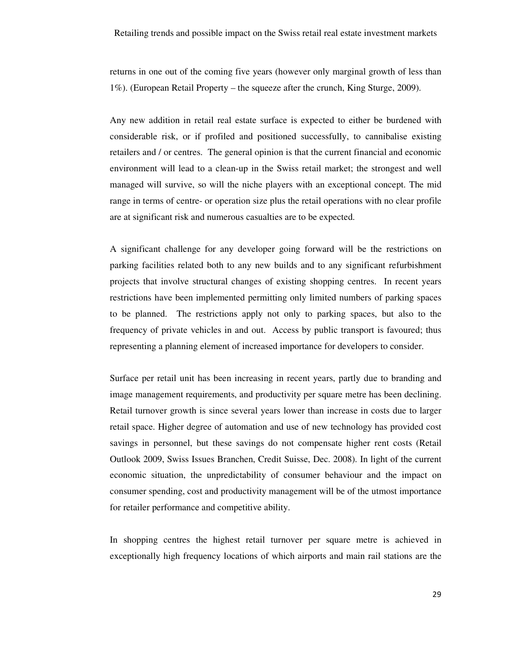returns in one out of the coming five years (however only marginal growth of less than 1%). (European Retail Property – the squeeze after the crunch, King Sturge, 2009).

Any new addition in retail real estate surface is expected to either be burdened with considerable risk, or if profiled and positioned successfully, to cannibalise existing retailers and / or centres. The general opinion is that the current financial and economic environment will lead to a clean-up in the Swiss retail market; the strongest and well managed will survive, so will the niche players with an exceptional concept. The mid range in terms of centre- or operation size plus the retail operations with no clear profile are at significant risk and numerous casualties are to be expected.

A significant challenge for any developer going forward will be the restrictions on parking facilities related both to any new builds and to any significant refurbishment projects that involve structural changes of existing shopping centres. In recent years restrictions have been implemented permitting only limited numbers of parking spaces to be planned. The restrictions apply not only to parking spaces, but also to the frequency of private vehicles in and out. Access by public transport is favoured; thus representing a planning element of increased importance for developers to consider.

Surface per retail unit has been increasing in recent years, partly due to branding and image management requirements, and productivity per square metre has been declining. Retail turnover growth is since several years lower than increase in costs due to larger retail space. Higher degree of automation and use of new technology has provided cost savings in personnel, but these savings do not compensate higher rent costs (Retail Outlook 2009, Swiss Issues Branchen, Credit Suisse, Dec. 2008). In light of the current economic situation, the unpredictability of consumer behaviour and the impact on consumer spending, cost and productivity management will be of the utmost importance for retailer performance and competitive ability.

In shopping centres the highest retail turnover per square metre is achieved in exceptionally high frequency locations of which airports and main rail stations are the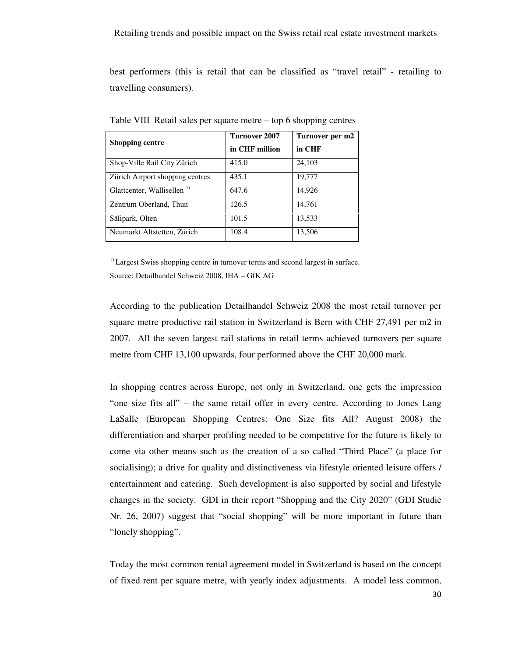best performers (this is retail that can be classified as "travel retail" - retailing to travelling consumers).

| <b>Shopping centre</b>                 | Turnover 2007<br>in CHF million | Turnover per m2<br>in CHF |
|----------------------------------------|---------------------------------|---------------------------|
| Shop-Ville Rail City Zürich            | 415.0                           | 24,103                    |
| Zürich Airport shopping centres        | 435.1                           | 19,777                    |
| Glattcenter, Wallisellen <sup>1)</sup> | 647.6                           | 14,926                    |
| Zentrum Oberland, Thun                 | 126.5                           | 14,761                    |
| Sälipark, Olten                        | 101.5                           | 13,533                    |
| Neumarkt Altstetten, Zürich            | 108.4                           | 13,506                    |

Table VIII Retail sales per square metre – top 6 shopping centres

 $<sup>1</sup>$  Largest Swiss shopping centre in turnover terms and second largest in surface.</sup> Source: Detailhandel Schweiz 2008, IHA – GfK AG

According to the publication Detailhandel Schweiz 2008 the most retail turnover per square metre productive rail station in Switzerland is Bern with CHF 27,491 per m2 in 2007. All the seven largest rail stations in retail terms achieved turnovers per square metre from CHF 13,100 upwards, four performed above the CHF 20,000 mark.

In shopping centres across Europe, not only in Switzerland, one gets the impression "one size fits all" – the same retail offer in every centre. According to Jones Lang LaSalle (European Shopping Centres: One Size fits All? August 2008) the differentiation and sharper profiling needed to be competitive for the future is likely to come via other means such as the creation of a so called "Third Place" (a place for socialising); a drive for quality and distinctiveness via lifestyle oriented leisure offers / entertainment and catering. Such development is also supported by social and lifestyle changes in the society. GDI in their report "Shopping and the City 2020" (GDI Studie Nr. 26, 2007) suggest that "social shopping" will be more important in future than "lonely shopping".

Today the most common rental agreement model in Switzerland is based on the concept of fixed rent per square metre, with yearly index adjustments. A model less common,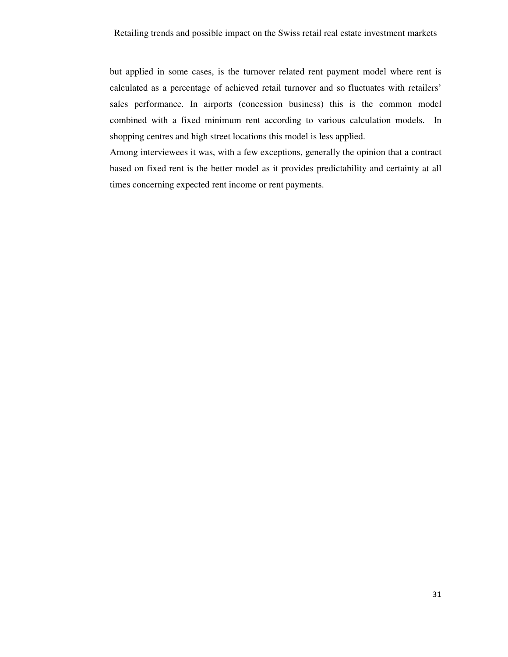but applied in some cases, is the turnover related rent payment model where rent is calculated as a percentage of achieved retail turnover and so fluctuates with retailers' sales performance. In airports (concession business) this is the common model combined with a fixed minimum rent according to various calculation models. In shopping centres and high street locations this model is less applied.

Among interviewees it was, with a few exceptions, generally the opinion that a contract based on fixed rent is the better model as it provides predictability and certainty at all times concerning expected rent income or rent payments.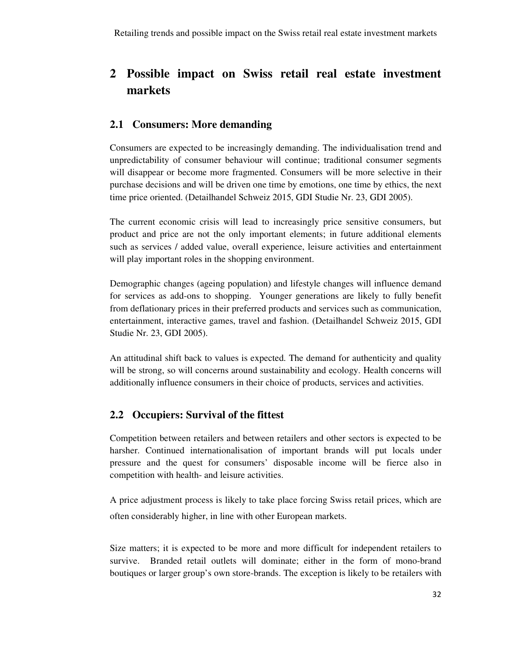# **2 Possible impact on Swiss retail real estate investment markets**

# **2.1 Consumers: More demanding**

Consumers are expected to be increasingly demanding. The individualisation trend and unpredictability of consumer behaviour will continue; traditional consumer segments will disappear or become more fragmented. Consumers will be more selective in their purchase decisions and will be driven one time by emotions, one time by ethics, the next time price oriented. (Detailhandel Schweiz 2015, GDI Studie Nr. 23, GDI 2005).

The current economic crisis will lead to increasingly price sensitive consumers, but product and price are not the only important elements; in future additional elements such as services / added value, overall experience, leisure activities and entertainment will play important roles in the shopping environment.

Demographic changes (ageing population) and lifestyle changes will influence demand for services as add-ons to shopping. Younger generations are likely to fully benefit from deflationary prices in their preferred products and services such as communication, entertainment, interactive games, travel and fashion. (Detailhandel Schweiz 2015, GDI Studie Nr. 23, GDI 2005).

An attitudinal shift back to values is expected. The demand for authenticity and quality will be strong, so will concerns around sustainability and ecology. Health concerns will additionally influence consumers in their choice of products, services and activities.

# **2.2 Occupiers: Survival of the fittest**

Competition between retailers and between retailers and other sectors is expected to be harsher. Continued internationalisation of important brands will put locals under pressure and the quest for consumers' disposable income will be fierce also in competition with health- and leisure activities.

A price adjustment process is likely to take place forcing Swiss retail prices, which are often considerably higher, in line with other European markets.

Size matters; it is expected to be more and more difficult for independent retailers to survive. Branded retail outlets will dominate; either in the form of mono-brand boutiques or larger group's own store-brands. The exception is likely to be retailers with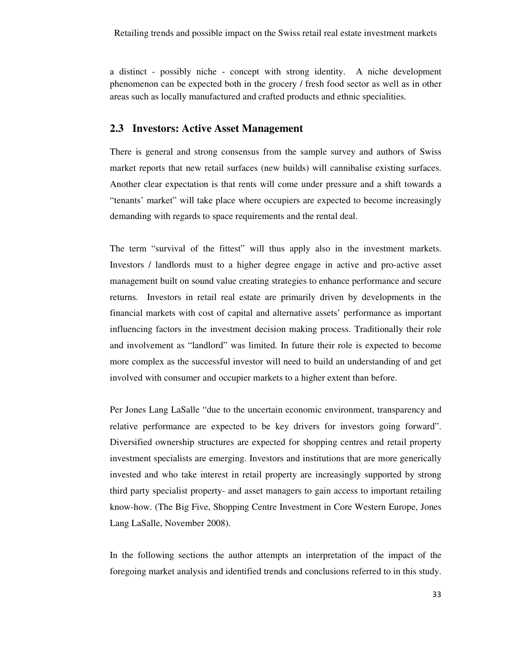a distinct - possibly niche - concept with strong identity. A niche development phenomenon can be expected both in the grocery / fresh food sector as well as in other areas such as locally manufactured and crafted products and ethnic specialities.

### **2.3 Investors: Active Asset Management**

There is general and strong consensus from the sample survey and authors of Swiss market reports that new retail surfaces (new builds) will cannibalise existing surfaces. Another clear expectation is that rents will come under pressure and a shift towards a "tenants' market" will take place where occupiers are expected to become increasingly demanding with regards to space requirements and the rental deal.

The term "survival of the fittest" will thus apply also in the investment markets. Investors / landlords must to a higher degree engage in active and pro-active asset management built on sound value creating strategies to enhance performance and secure returns. Investors in retail real estate are primarily driven by developments in the financial markets with cost of capital and alternative assets' performance as important influencing factors in the investment decision making process. Traditionally their role and involvement as "landlord" was limited. In future their role is expected to become more complex as the successful investor will need to build an understanding of and get involved with consumer and occupier markets to a higher extent than before.

Per Jones Lang LaSalle "due to the uncertain economic environment, transparency and relative performance are expected to be key drivers for investors going forward". Diversified ownership structures are expected for shopping centres and retail property investment specialists are emerging. Investors and institutions that are more generically invested and who take interest in retail property are increasingly supported by strong third party specialist property- and asset managers to gain access to important retailing know-how. (The Big Five, Shopping Centre Investment in Core Western Europe, Jones Lang LaSalle, November 2008).

In the following sections the author attempts an interpretation of the impact of the foregoing market analysis and identified trends and conclusions referred to in this study.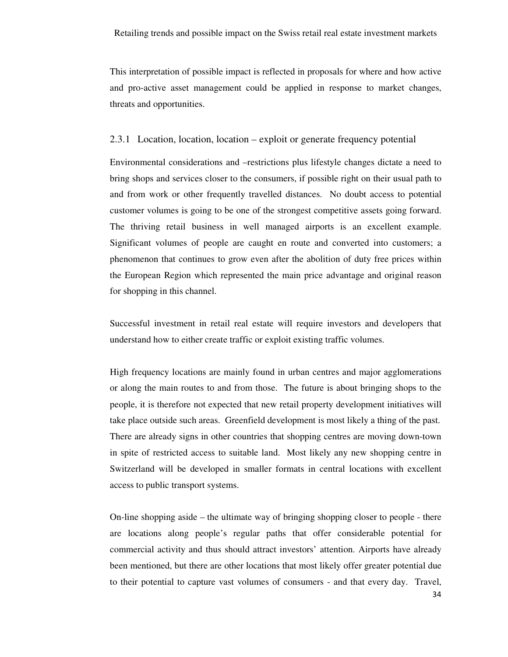This interpretation of possible impact is reflected in proposals for where and how active and pro-active asset management could be applied in response to market changes, threats and opportunities.

#### 2.3.1 Location, location, location – exploit or generate frequency potential

Environmental considerations and –restrictions plus lifestyle changes dictate a need to bring shops and services closer to the consumers, if possible right on their usual path to and from work or other frequently travelled distances. No doubt access to potential customer volumes is going to be one of the strongest competitive assets going forward. The thriving retail business in well managed airports is an excellent example. Significant volumes of people are caught en route and converted into customers; a phenomenon that continues to grow even after the abolition of duty free prices within the European Region which represented the main price advantage and original reason for shopping in this channel.

Successful investment in retail real estate will require investors and developers that understand how to either create traffic or exploit existing traffic volumes.

High frequency locations are mainly found in urban centres and major agglomerations or along the main routes to and from those. The future is about bringing shops to the people, it is therefore not expected that new retail property development initiatives will take place outside such areas. Greenfield development is most likely a thing of the past. There are already signs in other countries that shopping centres are moving down-town in spite of restricted access to suitable land. Most likely any new shopping centre in Switzerland will be developed in smaller formats in central locations with excellent access to public transport systems.

On-line shopping aside – the ultimate way of bringing shopping closer to people - there are locations along people's regular paths that offer considerable potential for commercial activity and thus should attract investors' attention. Airports have already been mentioned, but there are other locations that most likely offer greater potential due to their potential to capture vast volumes of consumers - and that every day. Travel,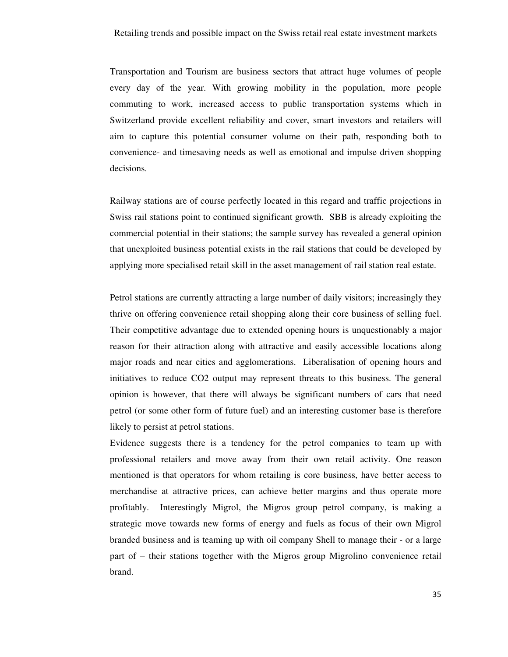Transportation and Tourism are business sectors that attract huge volumes of people every day of the year. With growing mobility in the population, more people commuting to work, increased access to public transportation systems which in Switzerland provide excellent reliability and cover, smart investors and retailers will aim to capture this potential consumer volume on their path, responding both to convenience- and timesaving needs as well as emotional and impulse driven shopping decisions.

Railway stations are of course perfectly located in this regard and traffic projections in Swiss rail stations point to continued significant growth. SBB is already exploiting the commercial potential in their stations; the sample survey has revealed a general opinion that unexploited business potential exists in the rail stations that could be developed by applying more specialised retail skill in the asset management of rail station real estate.

Petrol stations are currently attracting a large number of daily visitors; increasingly they thrive on offering convenience retail shopping along their core business of selling fuel. Their competitive advantage due to extended opening hours is unquestionably a major reason for their attraction along with attractive and easily accessible locations along major roads and near cities and agglomerations. Liberalisation of opening hours and initiatives to reduce CO2 output may represent threats to this business. The general opinion is however, that there will always be significant numbers of cars that need petrol (or some other form of future fuel) and an interesting customer base is therefore likely to persist at petrol stations.

Evidence suggests there is a tendency for the petrol companies to team up with professional retailers and move away from their own retail activity. One reason mentioned is that operators for whom retailing is core business, have better access to merchandise at attractive prices, can achieve better margins and thus operate more profitably. Interestingly Migrol, the Migros group petrol company, is making a strategic move towards new forms of energy and fuels as focus of their own Migrol branded business and is teaming up with oil company Shell to manage their - or a large part of – their stations together with the Migros group Migrolino convenience retail brand.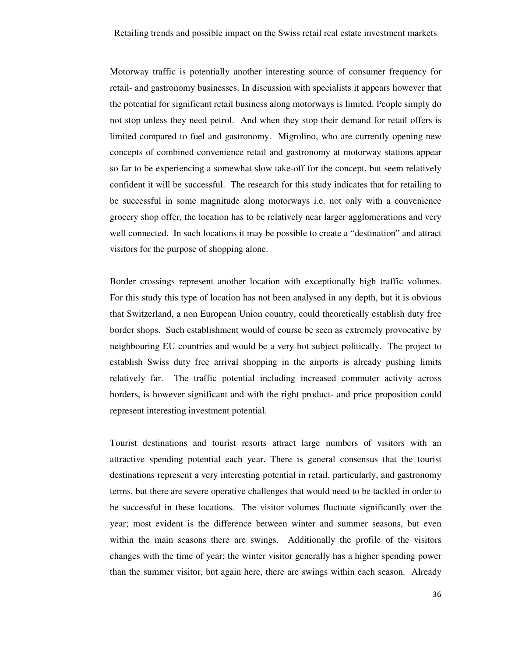Motorway traffic is potentially another interesting source of consumer frequency for retail- and gastronomy businesses. In discussion with specialists it appears however that the potential for significant retail business along motorways is limited. People simply do not stop unless they need petrol. And when they stop their demand for retail offers is limited compared to fuel and gastronomy. Migrolino, who are currently opening new concepts of combined convenience retail and gastronomy at motorway stations appear so far to be experiencing a somewhat slow take-off for the concept, but seem relatively confident it will be successful. The research for this study indicates that for retailing to be successful in some magnitude along motorways i.e. not only with a convenience grocery shop offer, the location has to be relatively near larger agglomerations and very well connected. In such locations it may be possible to create a "destination" and attract visitors for the purpose of shopping alone.

Border crossings represent another location with exceptionally high traffic volumes. For this study this type of location has not been analysed in any depth, but it is obvious that Switzerland, a non European Union country, could theoretically establish duty free border shops. Such establishment would of course be seen as extremely provocative by neighbouring EU countries and would be a very hot subject politically. The project to establish Swiss duty free arrival shopping in the airports is already pushing limits relatively far. The traffic potential including increased commuter activity across borders, is however significant and with the right product- and price proposition could represent interesting investment potential.

Tourist destinations and tourist resorts attract large numbers of visitors with an attractive spending potential each year. There is general consensus that the tourist destinations represent a very interesting potential in retail, particularly, and gastronomy terms, but there are severe operative challenges that would need to be tackled in order to be successful in these locations. The visitor volumes fluctuate significantly over the year; most evident is the difference between winter and summer seasons, but even within the main seasons there are swings. Additionally the profile of the visitors changes with the time of year; the winter visitor generally has a higher spending power than the summer visitor, but again here, there are swings within each season. Already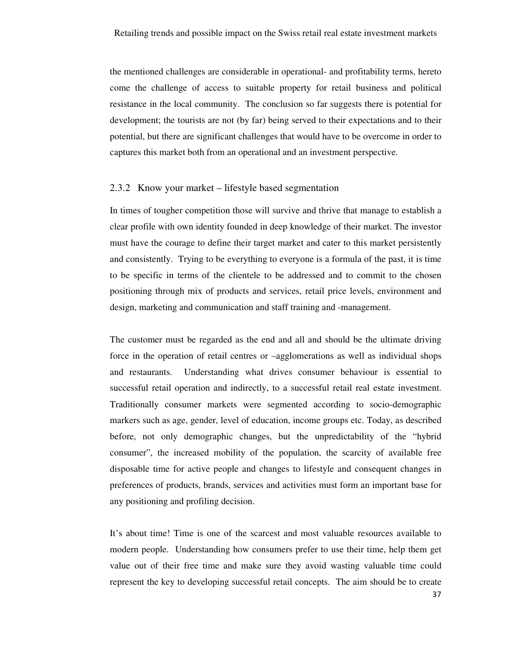the mentioned challenges are considerable in operational- and profitability terms, hereto come the challenge of access to suitable property for retail business and political resistance in the local community. The conclusion so far suggests there is potential for development; the tourists are not (by far) being served to their expectations and to their potential, but there are significant challenges that would have to be overcome in order to captures this market both from an operational and an investment perspective.

### 2.3.2 Know your market – lifestyle based segmentation

In times of tougher competition those will survive and thrive that manage to establish a clear profile with own identity founded in deep knowledge of their market. The investor must have the courage to define their target market and cater to this market persistently and consistently. Trying to be everything to everyone is a formula of the past, it is time to be specific in terms of the clientele to be addressed and to commit to the chosen positioning through mix of products and services, retail price levels, environment and design, marketing and communication and staff training and -management.

The customer must be regarded as the end and all and should be the ultimate driving force in the operation of retail centres or –agglomerations as well as individual shops and restaurants. Understanding what drives consumer behaviour is essential to successful retail operation and indirectly, to a successful retail real estate investment. Traditionally consumer markets were segmented according to socio-demographic markers such as age, gender, level of education, income groups etc. Today, as described before, not only demographic changes, but the unpredictability of the "hybrid consumer", the increased mobility of the population, the scarcity of available free disposable time for active people and changes to lifestyle and consequent changes in preferences of products, brands, services and activities must form an important base for any positioning and profiling decision.

It's about time! Time is one of the scarcest and most valuable resources available to modern people. Understanding how consumers prefer to use their time, help them get value out of their free time and make sure they avoid wasting valuable time could represent the key to developing successful retail concepts. The aim should be to create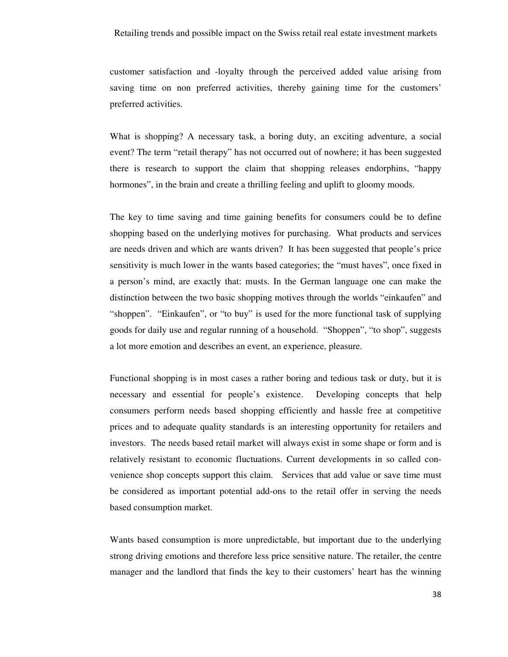customer satisfaction and -loyalty through the perceived added value arising from saving time on non preferred activities, thereby gaining time for the customers' preferred activities.

What is shopping? A necessary task, a boring duty, an exciting adventure, a social event? The term "retail therapy" has not occurred out of nowhere; it has been suggested there is research to support the claim that shopping releases endorphins, "happy hormones", in the brain and create a thrilling feeling and uplift to gloomy moods.

The key to time saving and time gaining benefits for consumers could be to define shopping based on the underlying motives for purchasing. What products and services are needs driven and which are wants driven? It has been suggested that people's price sensitivity is much lower in the wants based categories; the "must haves", once fixed in a person's mind, are exactly that: musts. In the German language one can make the distinction between the two basic shopping motives through the worlds "einkaufen" and "shoppen". "Einkaufen", or "to buy" is used for the more functional task of supplying goods for daily use and regular running of a household. "Shoppen", "to shop", suggests a lot more emotion and describes an event, an experience, pleasure.

Functional shopping is in most cases a rather boring and tedious task or duty, but it is necessary and essential for people's existence. Developing concepts that help consumers perform needs based shopping efficiently and hassle free at competitive prices and to adequate quality standards is an interesting opportunity for retailers and investors. The needs based retail market will always exist in some shape or form and is relatively resistant to economic fluctuations. Current developments in so called convenience shop concepts support this claim. Services that add value or save time must be considered as important potential add-ons to the retail offer in serving the needs based consumption market.

Wants based consumption is more unpredictable, but important due to the underlying strong driving emotions and therefore less price sensitive nature. The retailer, the centre manager and the landlord that finds the key to their customers' heart has the winning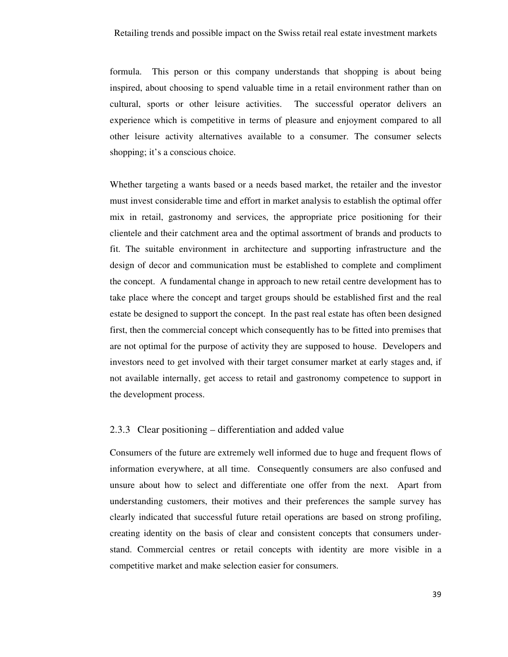formula. This person or this company understands that shopping is about being inspired, about choosing to spend valuable time in a retail environment rather than on cultural, sports or other leisure activities. The successful operator delivers an experience which is competitive in terms of pleasure and enjoyment compared to all other leisure activity alternatives available to a consumer. The consumer selects shopping; it's a conscious choice.

Whether targeting a wants based or a needs based market, the retailer and the investor must invest considerable time and effort in market analysis to establish the optimal offer mix in retail, gastronomy and services, the appropriate price positioning for their clientele and their catchment area and the optimal assortment of brands and products to fit. The suitable environment in architecture and supporting infrastructure and the design of decor and communication must be established to complete and compliment the concept. A fundamental change in approach to new retail centre development has to take place where the concept and target groups should be established first and the real estate be designed to support the concept. In the past real estate has often been designed first, then the commercial concept which consequently has to be fitted into premises that are not optimal for the purpose of activity they are supposed to house. Developers and investors need to get involved with their target consumer market at early stages and, if not available internally, get access to retail and gastronomy competence to support in the development process.

### 2.3.3 Clear positioning – differentiation and added value

Consumers of the future are extremely well informed due to huge and frequent flows of information everywhere, at all time. Consequently consumers are also confused and unsure about how to select and differentiate one offer from the next. Apart from understanding customers, their motives and their preferences the sample survey has clearly indicated that successful future retail operations are based on strong profiling, creating identity on the basis of clear and consistent concepts that consumers understand. Commercial centres or retail concepts with identity are more visible in a competitive market and make selection easier for consumers.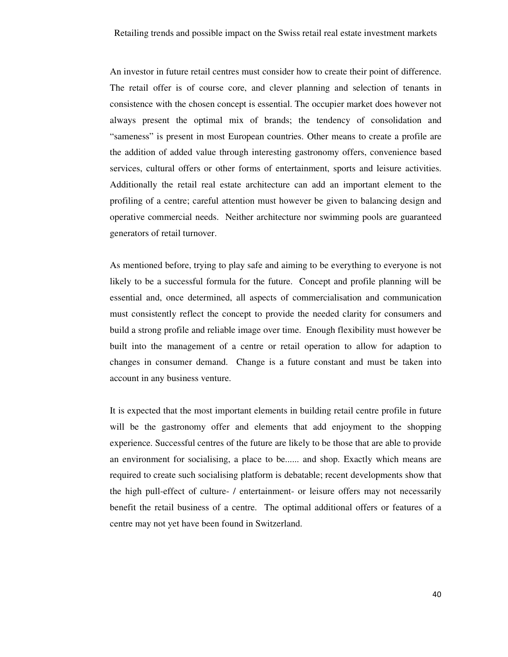An investor in future retail centres must consider how to create their point of difference. The retail offer is of course core, and clever planning and selection of tenants in consistence with the chosen concept is essential. The occupier market does however not always present the optimal mix of brands; the tendency of consolidation and "sameness" is present in most European countries. Other means to create a profile are the addition of added value through interesting gastronomy offers, convenience based services, cultural offers or other forms of entertainment, sports and leisure activities. Additionally the retail real estate architecture can add an important element to the profiling of a centre; careful attention must however be given to balancing design and operative commercial needs. Neither architecture nor swimming pools are guaranteed generators of retail turnover.

As mentioned before, trying to play safe and aiming to be everything to everyone is not likely to be a successful formula for the future. Concept and profile planning will be essential and, once determined, all aspects of commercialisation and communication must consistently reflect the concept to provide the needed clarity for consumers and build a strong profile and reliable image over time. Enough flexibility must however be built into the management of a centre or retail operation to allow for adaption to changes in consumer demand. Change is a future constant and must be taken into account in any business venture.

It is expected that the most important elements in building retail centre profile in future will be the gastronomy offer and elements that add enjoyment to the shopping experience. Successful centres of the future are likely to be those that are able to provide an environment for socialising, a place to be...... and shop. Exactly which means are required to create such socialising platform is debatable; recent developments show that the high pull-effect of culture- / entertainment- or leisure offers may not necessarily benefit the retail business of a centre. The optimal additional offers or features of a centre may not yet have been found in Switzerland.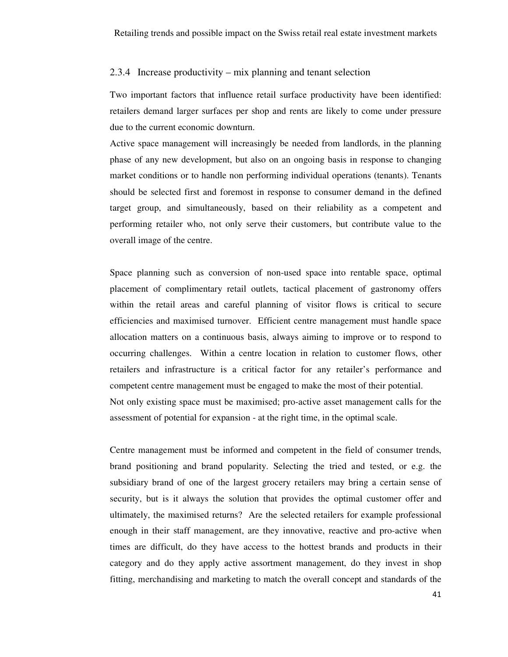#### 2.3.4 Increase productivity – mix planning and tenant selection

Two important factors that influence retail surface productivity have been identified: retailers demand larger surfaces per shop and rents are likely to come under pressure due to the current economic downturn.

Active space management will increasingly be needed from landlords, in the planning phase of any new development, but also on an ongoing basis in response to changing market conditions or to handle non performing individual operations (tenants). Tenants should be selected first and foremost in response to consumer demand in the defined target group, and simultaneously, based on their reliability as a competent and performing retailer who, not only serve their customers, but contribute value to the overall image of the centre.

Space planning such as conversion of non-used space into rentable space, optimal placement of complimentary retail outlets, tactical placement of gastronomy offers within the retail areas and careful planning of visitor flows is critical to secure efficiencies and maximised turnover. Efficient centre management must handle space allocation matters on a continuous basis, always aiming to improve or to respond to occurring challenges. Within a centre location in relation to customer flows, other retailers and infrastructure is a critical factor for any retailer's performance and competent centre management must be engaged to make the most of their potential. Not only existing space must be maximised; pro-active asset management calls for the assessment of potential for expansion - at the right time, in the optimal scale.

Centre management must be informed and competent in the field of consumer trends, brand positioning and brand popularity. Selecting the tried and tested, or e.g. the subsidiary brand of one of the largest grocery retailers may bring a certain sense of security, but is it always the solution that provides the optimal customer offer and ultimately, the maximised returns? Are the selected retailers for example professional enough in their staff management, are they innovative, reactive and pro-active when times are difficult, do they have access to the hottest brands and products in their category and do they apply active assortment management, do they invest in shop fitting, merchandising and marketing to match the overall concept and standards of the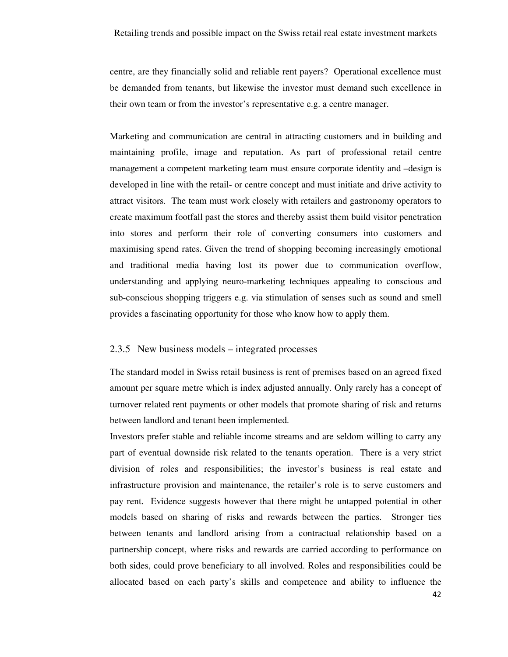centre, are they financially solid and reliable rent payers? Operational excellence must be demanded from tenants, but likewise the investor must demand such excellence in their own team or from the investor's representative e.g. a centre manager.

Marketing and communication are central in attracting customers and in building and maintaining profile, image and reputation. As part of professional retail centre management a competent marketing team must ensure corporate identity and –design is developed in line with the retail- or centre concept and must initiate and drive activity to attract visitors. The team must work closely with retailers and gastronomy operators to create maximum footfall past the stores and thereby assist them build visitor penetration into stores and perform their role of converting consumers into customers and maximising spend rates. Given the trend of shopping becoming increasingly emotional and traditional media having lost its power due to communication overflow, understanding and applying neuro-marketing techniques appealing to conscious and sub-conscious shopping triggers e.g. via stimulation of senses such as sound and smell provides a fascinating opportunity for those who know how to apply them.

#### 2.3.5 New business models – integrated processes

The standard model in Swiss retail business is rent of premises based on an agreed fixed amount per square metre which is index adjusted annually. Only rarely has a concept of turnover related rent payments or other models that promote sharing of risk and returns between landlord and tenant been implemented.

Investors prefer stable and reliable income streams and are seldom willing to carry any part of eventual downside risk related to the tenants operation. There is a very strict division of roles and responsibilities; the investor's business is real estate and infrastructure provision and maintenance, the retailer's role is to serve customers and pay rent. Evidence suggests however that there might be untapped potential in other models based on sharing of risks and rewards between the parties. Stronger ties between tenants and landlord arising from a contractual relationship based on a partnership concept, where risks and rewards are carried according to performance on both sides, could prove beneficiary to all involved. Roles and responsibilities could be allocated based on each party's skills and competence and ability to influence the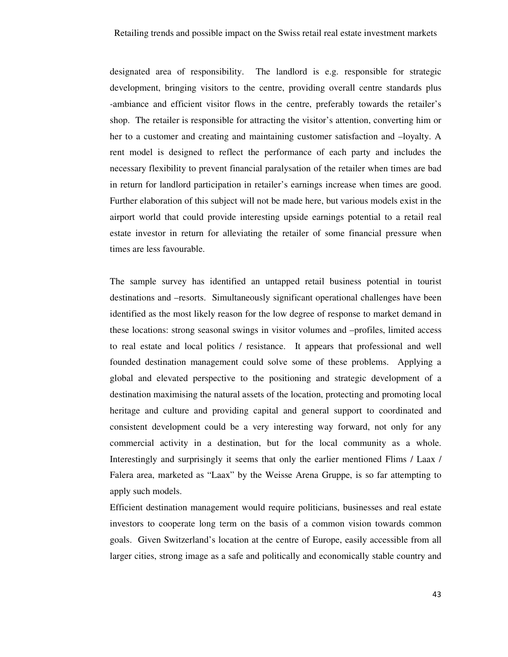designated area of responsibility. The landlord is e.g. responsible for strategic development, bringing visitors to the centre, providing overall centre standards plus -ambiance and efficient visitor flows in the centre, preferably towards the retailer's shop. The retailer is responsible for attracting the visitor's attention, converting him or her to a customer and creating and maintaining customer satisfaction and –loyalty. A rent model is designed to reflect the performance of each party and includes the necessary flexibility to prevent financial paralysation of the retailer when times are bad in return for landlord participation in retailer's earnings increase when times are good. Further elaboration of this subject will not be made here, but various models exist in the airport world that could provide interesting upside earnings potential to a retail real estate investor in return for alleviating the retailer of some financial pressure when times are less favourable.

The sample survey has identified an untapped retail business potential in tourist destinations and –resorts. Simultaneously significant operational challenges have been identified as the most likely reason for the low degree of response to market demand in these locations: strong seasonal swings in visitor volumes and –profiles, limited access to real estate and local politics / resistance. It appears that professional and well founded destination management could solve some of these problems. Applying a global and elevated perspective to the positioning and strategic development of a destination maximising the natural assets of the location, protecting and promoting local heritage and culture and providing capital and general support to coordinated and consistent development could be a very interesting way forward, not only for any commercial activity in a destination, but for the local community as a whole. Interestingly and surprisingly it seems that only the earlier mentioned Flims / Laax / Falera area, marketed as "Laax" by the Weisse Arena Gruppe, is so far attempting to apply such models.

Efficient destination management would require politicians, businesses and real estate investors to cooperate long term on the basis of a common vision towards common goals. Given Switzerland's location at the centre of Europe, easily accessible from all larger cities, strong image as a safe and politically and economically stable country and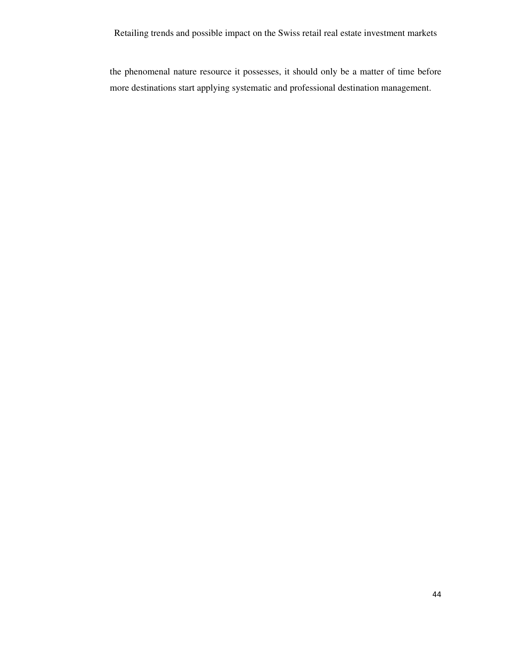the phenomenal nature resource it possesses, it should only be a matter of time before more destinations start applying systematic and professional destination management.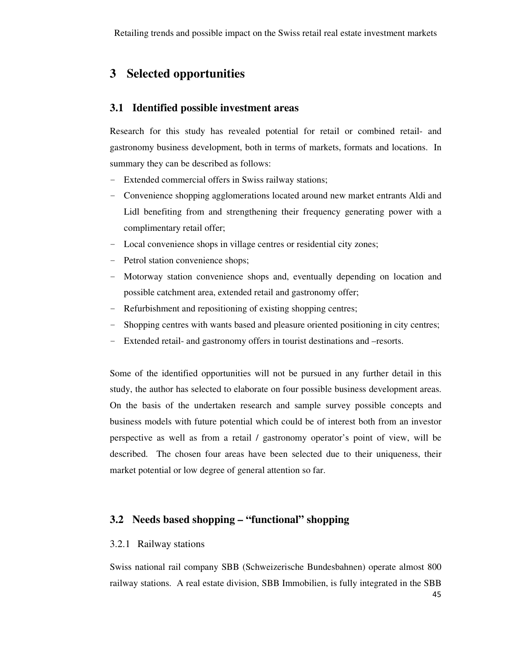# **3 Selected opportunities**

### **3.1 Identified possible investment areas**

Research for this study has revealed potential for retail or combined retail- and gastronomy business development, both in terms of markets, formats and locations. In summary they can be described as follows:

- Extended commercial offers in Swiss railway stations;
- Convenience shopping agglomerations located around new market entrants Aldi and Lidl benefiting from and strengthening their frequency generating power with a complimentary retail offer;
- Local convenience shops in village centres or residential city zones;
- Petrol station convenience shops;
- Motorway station convenience shops and, eventually depending on location and possible catchment area, extended retail and gastronomy offer;
- Refurbishment and repositioning of existing shopping centres;
- Shopping centres with wants based and pleasure oriented positioning in city centres;
- Extended retail- and gastronomy offers in tourist destinations and –resorts.

Some of the identified opportunities will not be pursued in any further detail in this study, the author has selected to elaborate on four possible business development areas. On the basis of the undertaken research and sample survey possible concepts and business models with future potential which could be of interest both from an investor perspective as well as from a retail / gastronomy operator's point of view, will be described. The chosen four areas have been selected due to their uniqueness, their market potential or low degree of general attention so far.

### **3.2 Needs based shopping – "functional" shopping**

### 3.2.1 Railway stations

Swiss national rail company SBB (Schweizerische Bundesbahnen) operate almost 800 railway stations. A real estate division, SBB Immobilien, is fully integrated in the SBB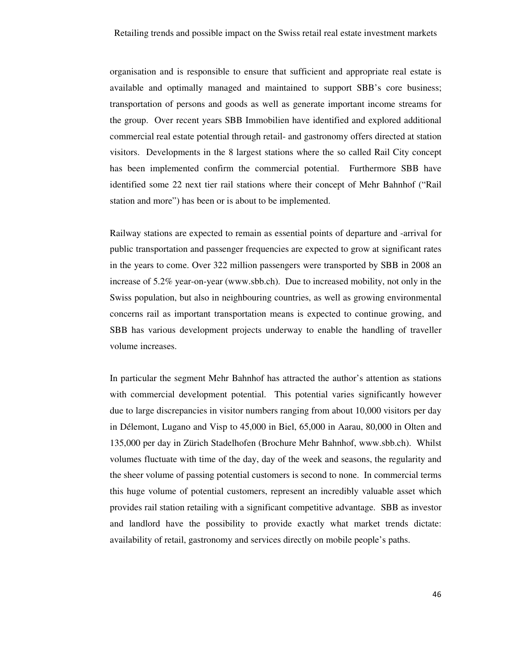organisation and is responsible to ensure that sufficient and appropriate real estate is available and optimally managed and maintained to support SBB's core business; transportation of persons and goods as well as generate important income streams for the group. Over recent years SBB Immobilien have identified and explored additional commercial real estate potential through retail- and gastronomy offers directed at station visitors. Developments in the 8 largest stations where the so called Rail City concept has been implemented confirm the commercial potential. Furthermore SBB have identified some 22 next tier rail stations where their concept of Mehr Bahnhof ("Rail station and more") has been or is about to be implemented.

Railway stations are expected to remain as essential points of departure and -arrival for public transportation and passenger frequencies are expected to grow at significant rates in the years to come. Over 322 million passengers were transported by SBB in 2008 an increase of 5.2% year-on-year (www.sbb.ch). Due to increased mobility, not only in the Swiss population, but also in neighbouring countries, as well as growing environmental concerns rail as important transportation means is expected to continue growing, and SBB has various development projects underway to enable the handling of traveller volume increases.

In particular the segment Mehr Bahnhof has attracted the author's attention as stations with commercial development potential. This potential varies significantly however due to large discrepancies in visitor numbers ranging from about 10,000 visitors per day in Délemont, Lugano and Visp to 45,000 in Biel, 65,000 in Aarau, 80,000 in Olten and 135,000 per day in Zürich Stadelhofen (Brochure Mehr Bahnhof, www.sbb.ch). Whilst volumes fluctuate with time of the day, day of the week and seasons, the regularity and the sheer volume of passing potential customers is second to none. In commercial terms this huge volume of potential customers, represent an incredibly valuable asset which provides rail station retailing with a significant competitive advantage. SBB as investor and landlord have the possibility to provide exactly what market trends dictate: availability of retail, gastronomy and services directly on mobile people's paths.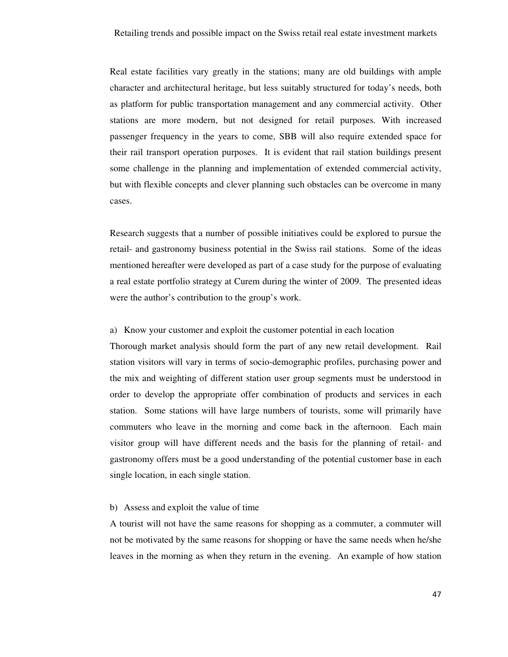Real estate facilities vary greatly in the stations; many are old buildings with ample character and architectural heritage, but less suitably structured for today's needs, both as platform for public transportation management and any commercial activity. Other stations are more modern, but not designed for retail purposes. With increased passenger frequency in the years to come, SBB will also require extended space for their rail transport operation purposes. It is evident that rail station buildings present some challenge in the planning and implementation of extended commercial activity, but with flexible concepts and clever planning such obstacles can be overcome in many cases.

Research suggests that a number of possible initiatives could be explored to pursue the retail- and gastronomy business potential in the Swiss rail stations. Some of the ideas mentioned hereafter were developed as part of a case study for the purpose of evaluating a real estate portfolio strategy at Curem during the winter of 2009. The presented ideas were the author's contribution to the group's work.

#### a) Know your customer and exploit the customer potential in each location

Thorough market analysis should form the part of any new retail development. Rail station visitors will vary in terms of socio-demographic profiles, purchasing power and the mix and weighting of different station user group segments must be understood in order to develop the appropriate offer combination of products and services in each station. Some stations will have large numbers of tourists, some will primarily have commuters who leave in the morning and come back in the afternoon. Each main visitor group will have different needs and the basis for the planning of retail- and gastronomy offers must be a good understanding of the potential customer base in each single location, in each single station.

#### b) Assess and exploit the value of time

A tourist will not have the same reasons for shopping as a commuter, a commuter will not be motivated by the same reasons for shopping or have the same needs when he/she leaves in the morning as when they return in the evening. An example of how station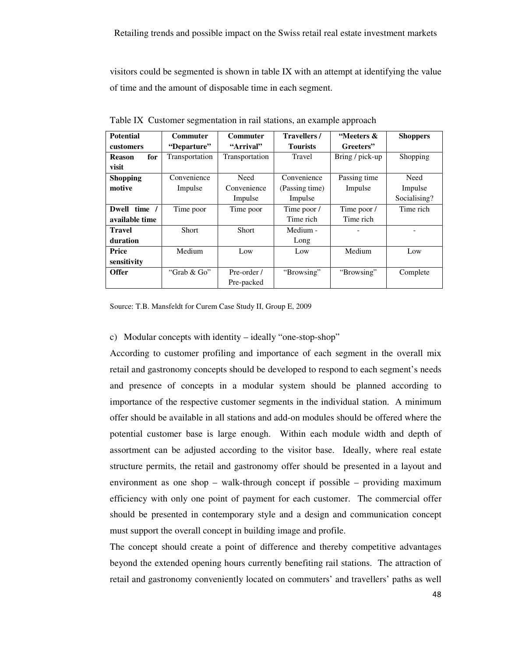visitors could be segmented is shown in table IX with an attempt at identifying the value of time and the amount of disposable time in each segment.

| <b>Potential</b>     | Commuter       | <b>Commuter</b> | <b>Travellers</b> / | "Meeters &      | <b>Shoppers</b> |
|----------------------|----------------|-----------------|---------------------|-----------------|-----------------|
| customers            | "Departure"    | "Arrival"       | <b>Tourists</b>     | Greeters"       |                 |
| for<br><b>Reason</b> | Transportation | Transportation  | Travel              | Bring / pick-up | Shopping        |
| visit                |                |                 |                     |                 |                 |
| <b>Shopping</b>      | Convenience    | Need            | Convenience         | Passing time    | Need            |
| motive               | Impulse        | Convenience     | (Passing time)      | Impulse         | Impulse         |
|                      |                | Impulse         | Impulse             |                 | Socialising?    |
| time /<br>Dwell      | Time poor      | Time poor       | Time poor /         | Time poor /     | Time rich       |
| available time       |                |                 | Time rich           | Time rich       |                 |
| <b>Travel</b>        | <b>Short</b>   | <b>Short</b>    | Medium -            |                 |                 |
| duration             |                |                 | Long                |                 |                 |
| Price                | Medium         | Low             | Low                 | Medium          | Low             |
| sensitivity          |                |                 |                     |                 |                 |
| <b>Offer</b>         | "Grab $\&$ Go" | Pre-order /     | "Browsing"          | "Browsing"      | Complete        |
|                      |                | Pre-packed      |                     |                 |                 |

Table IX Customer segmentation in rail stations, an example approach

Source: T.B. Mansfeldt for Curem Case Study II, Group E, 2009

### c) Modular concepts with identity – ideally "one-stop-shop"

According to customer profiling and importance of each segment in the overall mix retail and gastronomy concepts should be developed to respond to each segment's needs and presence of concepts in a modular system should be planned according to importance of the respective customer segments in the individual station. A minimum offer should be available in all stations and add-on modules should be offered where the potential customer base is large enough. Within each module width and depth of assortment can be adjusted according to the visitor base. Ideally, where real estate structure permits, the retail and gastronomy offer should be presented in a layout and environment as one shop – walk-through concept if possible – providing maximum efficiency with only one point of payment for each customer. The commercial offer should be presented in contemporary style and a design and communication concept must support the overall concept in building image and profile.

The concept should create a point of difference and thereby competitive advantages beyond the extended opening hours currently benefiting rail stations. The attraction of retail and gastronomy conveniently located on commuters' and travellers' paths as well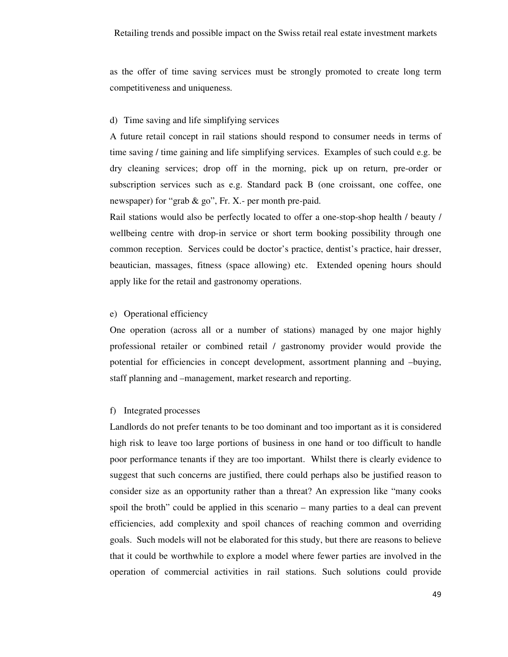as the offer of time saving services must be strongly promoted to create long term competitiveness and uniqueness.

### d) Time saving and life simplifying services

A future retail concept in rail stations should respond to consumer needs in terms of time saving / time gaining and life simplifying services. Examples of such could e.g. be dry cleaning services; drop off in the morning, pick up on return, pre-order or subscription services such as e.g. Standard pack B (one croissant, one coffee, one newspaper) for "grab & go", Fr. X.- per month pre-paid.

Rail stations would also be perfectly located to offer a one-stop-shop health / beauty / wellbeing centre with drop-in service or short term booking possibility through one common reception. Services could be doctor's practice, dentist's practice, hair dresser, beautician, massages, fitness (space allowing) etc. Extended opening hours should apply like for the retail and gastronomy operations.

### e) Operational efficiency

One operation (across all or a number of stations) managed by one major highly professional retailer or combined retail / gastronomy provider would provide the potential for efficiencies in concept development, assortment planning and –buying, staff planning and –management, market research and reporting.

### f) Integrated processes

Landlords do not prefer tenants to be too dominant and too important as it is considered high risk to leave too large portions of business in one hand or too difficult to handle poor performance tenants if they are too important. Whilst there is clearly evidence to suggest that such concerns are justified, there could perhaps also be justified reason to consider size as an opportunity rather than a threat? An expression like "many cooks spoil the broth" could be applied in this scenario – many parties to a deal can prevent efficiencies, add complexity and spoil chances of reaching common and overriding goals. Such models will not be elaborated for this study, but there are reasons to believe that it could be worthwhile to explore a model where fewer parties are involved in the operation of commercial activities in rail stations. Such solutions could provide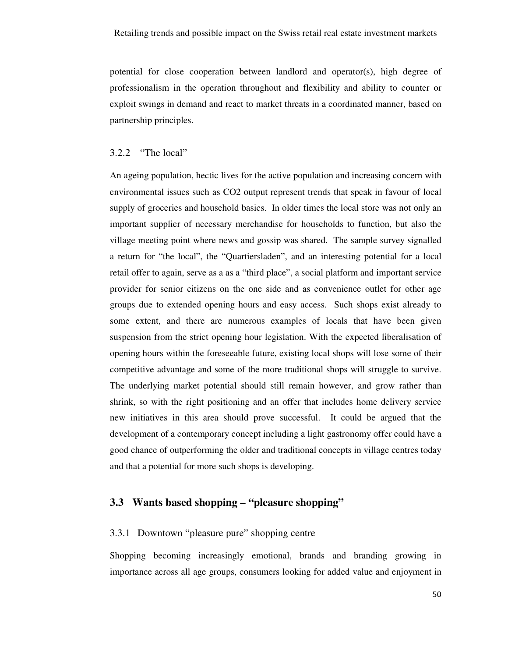potential for close cooperation between landlord and operator(s), high degree of professionalism in the operation throughout and flexibility and ability to counter or exploit swings in demand and react to market threats in a coordinated manner, based on partnership principles.

### 3.2.2 "The local"

An ageing population, hectic lives for the active population and increasing concern with environmental issues such as CO2 output represent trends that speak in favour of local supply of groceries and household basics. In older times the local store was not only an important supplier of necessary merchandise for households to function, but also the village meeting point where news and gossip was shared. The sample survey signalled a return for "the local", the "Quartiersladen", and an interesting potential for a local retail offer to again, serve as a as a "third place", a social platform and important service provider for senior citizens on the one side and as convenience outlet for other age groups due to extended opening hours and easy access. Such shops exist already to some extent, and there are numerous examples of locals that have been given suspension from the strict opening hour legislation. With the expected liberalisation of opening hours within the foreseeable future, existing local shops will lose some of their competitive advantage and some of the more traditional shops will struggle to survive. The underlying market potential should still remain however, and grow rather than shrink, so with the right positioning and an offer that includes home delivery service new initiatives in this area should prove successful. It could be argued that the development of a contemporary concept including a light gastronomy offer could have a good chance of outperforming the older and traditional concepts in village centres today and that a potential for more such shops is developing.

### **3.3 Wants based shopping – "pleasure shopping"**

### 3.3.1 Downtown "pleasure pure" shopping centre

Shopping becoming increasingly emotional, brands and branding growing in importance across all age groups, consumers looking for added value and enjoyment in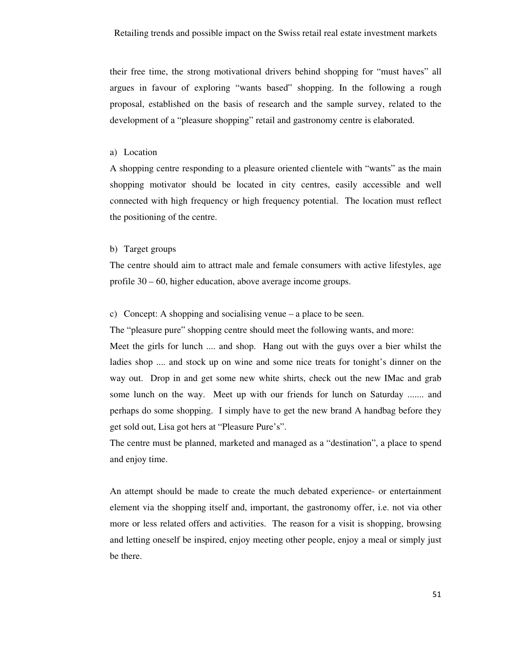their free time, the strong motivational drivers behind shopping for "must haves" all argues in favour of exploring "wants based" shopping. In the following a rough proposal, established on the basis of research and the sample survey, related to the development of a "pleasure shopping" retail and gastronomy centre is elaborated.

#### a) Location

A shopping centre responding to a pleasure oriented clientele with "wants" as the main shopping motivator should be located in city centres, easily accessible and well connected with high frequency or high frequency potential. The location must reflect the positioning of the centre.

#### b) Target groups

The centre should aim to attract male and female consumers with active lifestyles, age profile 30 – 60, higher education, above average income groups.

c) Concept: A shopping and socialising venue – a place to be seen.

The "pleasure pure" shopping centre should meet the following wants, and more:

Meet the girls for lunch .... and shop. Hang out with the guys over a bier whilst the ladies shop .... and stock up on wine and some nice treats for tonight's dinner on the way out. Drop in and get some new white shirts, check out the new IMac and grab some lunch on the way. Meet up with our friends for lunch on Saturday ....... and perhaps do some shopping. I simply have to get the new brand A handbag before they get sold out, Lisa got hers at "Pleasure Pure's".

The centre must be planned, marketed and managed as a "destination", a place to spend and enjoy time.

An attempt should be made to create the much debated experience- or entertainment element via the shopping itself and, important, the gastronomy offer, i.e. not via other more or less related offers and activities. The reason for a visit is shopping, browsing and letting oneself be inspired, enjoy meeting other people, enjoy a meal or simply just be there.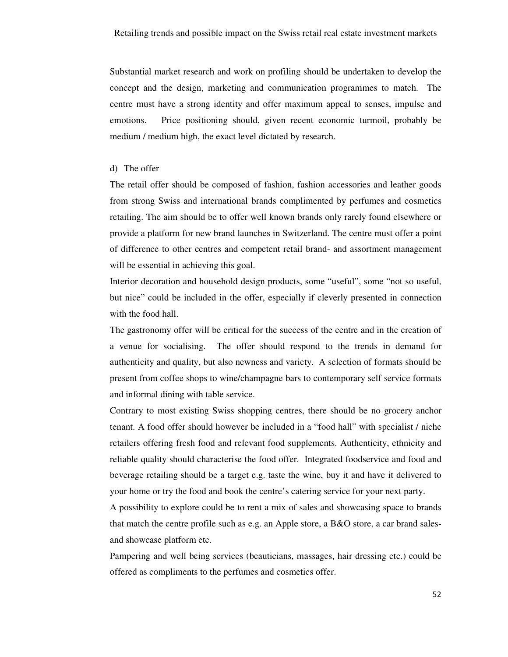Substantial market research and work on profiling should be undertaken to develop the concept and the design, marketing and communication programmes to match. The centre must have a strong identity and offer maximum appeal to senses, impulse and emotions. Price positioning should, given recent economic turmoil, probably be medium / medium high, the exact level dictated by research.

### d) The offer

The retail offer should be composed of fashion, fashion accessories and leather goods from strong Swiss and international brands complimented by perfumes and cosmetics retailing. The aim should be to offer well known brands only rarely found elsewhere or provide a platform for new brand launches in Switzerland. The centre must offer a point of difference to other centres and competent retail brand- and assortment management will be essential in achieving this goal.

Interior decoration and household design products, some "useful", some "not so useful, but nice" could be included in the offer, especially if cleverly presented in connection with the food hall.

The gastronomy offer will be critical for the success of the centre and in the creation of a venue for socialising. The offer should respond to the trends in demand for authenticity and quality, but also newness and variety. A selection of formats should be present from coffee shops to wine/champagne bars to contemporary self service formats and informal dining with table service.

Contrary to most existing Swiss shopping centres, there should be no grocery anchor tenant. A food offer should however be included in a "food hall" with specialist / niche retailers offering fresh food and relevant food supplements. Authenticity, ethnicity and reliable quality should characterise the food offer. Integrated foodservice and food and beverage retailing should be a target e.g. taste the wine, buy it and have it delivered to your home or try the food and book the centre's catering service for your next party.

A possibility to explore could be to rent a mix of sales and showcasing space to brands that match the centre profile such as e.g. an Apple store, a B&O store, a car brand salesand showcase platform etc.

Pampering and well being services (beauticians, massages, hair dressing etc.) could be offered as compliments to the perfumes and cosmetics offer.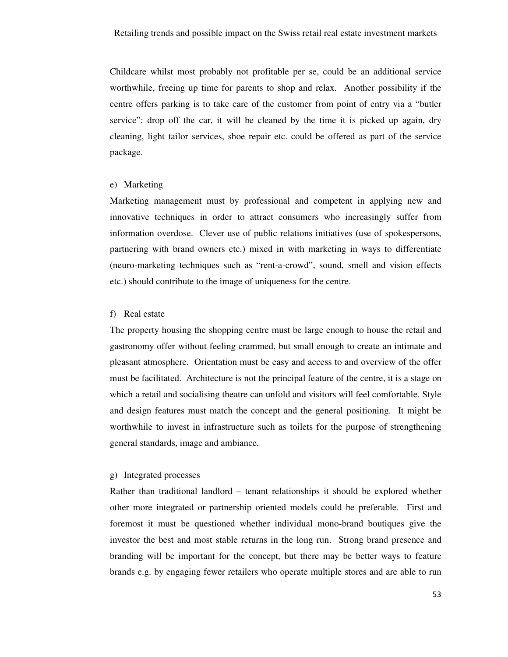Childcare whilst most probably not profitable per se, could be an additional service worthwhile, freeing up time for parents to shop and relax. Another possibility if the centre offers parking is to take care of the customer from point of entry via a "butler service": drop off the car, it will be cleaned by the time it is picked up again, dry cleaning, light tailor services, shoe repair etc. could be offered as part of the service package.

### e) Marketing

Marketing management must by professional and competent in applying new and innovative techniques in order to attract consumers who increasingly suffer from information overdose. Clever use of public relations initiatives (use of spokespersons, partnering with brand owners etc.) mixed in with marketing in ways to differentiate (neuro-marketing techniques such as "rent-a-crowd", sound, smell and vision effects etc.) should contribute to the image of uniqueness for the centre.

### f) Real estate

The property housing the shopping centre must be large enough to house the retail and gastronomy offer without feeling crammed, but small enough to create an intimate and pleasant atmosphere. Orientation must be easy and access to and overview of the offer must be facilitated. Architecture is not the principal feature of the centre, it is a stage on which a retail and socialising theatre can unfold and visitors will feel comfortable. Style and design features must match the concept and the general positioning. It might be worthwhile to invest in infrastructure such as toilets for the purpose of strengthening general standards, image and ambiance.

### g) Integrated processes

Rather than traditional landlord – tenant relationships it should be explored whether other more integrated or partnership oriented models could be preferable. First and foremost it must be questioned whether individual mono-brand boutiques give the investor the best and most stable returns in the long run. Strong brand presence and branding will be important for the concept, but there may be better ways to feature brands e.g. by engaging fewer retailers who operate multiple stores and are able to run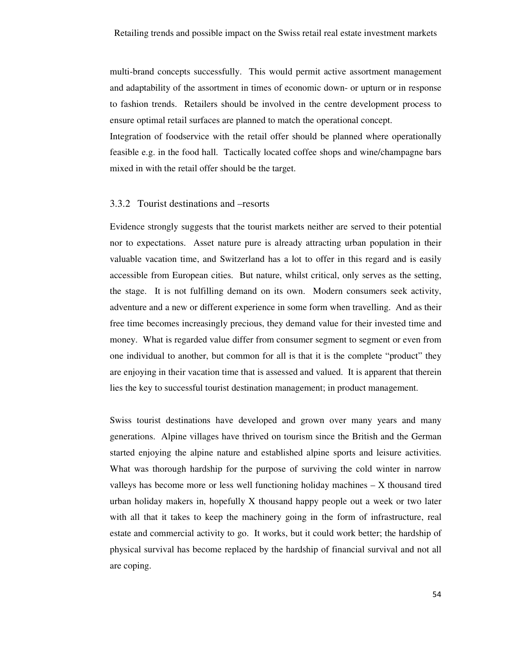multi-brand concepts successfully. This would permit active assortment management and adaptability of the assortment in times of economic down- or upturn or in response to fashion trends. Retailers should be involved in the centre development process to ensure optimal retail surfaces are planned to match the operational concept.

Integration of foodservice with the retail offer should be planned where operationally feasible e.g. in the food hall. Tactically located coffee shops and wine/champagne bars mixed in with the retail offer should be the target.

### 3.3.2 Tourist destinations and –resorts

Evidence strongly suggests that the tourist markets neither are served to their potential nor to expectations. Asset nature pure is already attracting urban population in their valuable vacation time, and Switzerland has a lot to offer in this regard and is easily accessible from European cities. But nature, whilst critical, only serves as the setting, the stage. It is not fulfilling demand on its own. Modern consumers seek activity, adventure and a new or different experience in some form when travelling. And as their free time becomes increasingly precious, they demand value for their invested time and money. What is regarded value differ from consumer segment to segment or even from one individual to another, but common for all is that it is the complete "product" they are enjoying in their vacation time that is assessed and valued. It is apparent that therein lies the key to successful tourist destination management; in product management.

Swiss tourist destinations have developed and grown over many years and many generations. Alpine villages have thrived on tourism since the British and the German started enjoying the alpine nature and established alpine sports and leisure activities. What was thorough hardship for the purpose of surviving the cold winter in narrow valleys has become more or less well functioning holiday machines – X thousand tired urban holiday makers in, hopefully X thousand happy people out a week or two later with all that it takes to keep the machinery going in the form of infrastructure, real estate and commercial activity to go. It works, but it could work better; the hardship of physical survival has become replaced by the hardship of financial survival and not all are coping.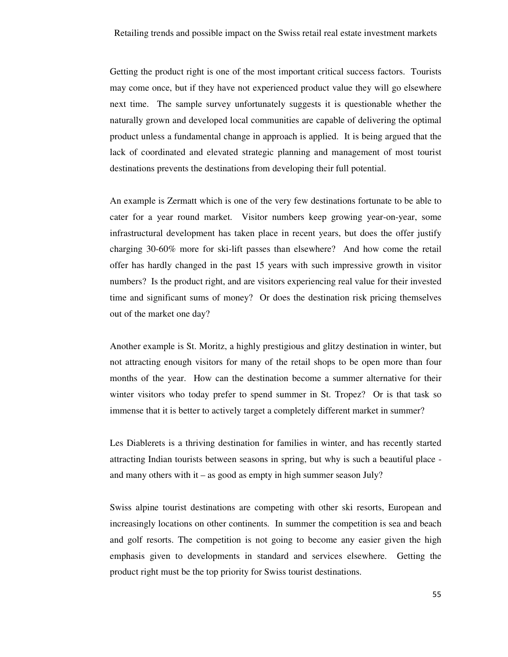Getting the product right is one of the most important critical success factors. Tourists may come once, but if they have not experienced product value they will go elsewhere next time. The sample survey unfortunately suggests it is questionable whether the naturally grown and developed local communities are capable of delivering the optimal product unless a fundamental change in approach is applied. It is being argued that the lack of coordinated and elevated strategic planning and management of most tourist destinations prevents the destinations from developing their full potential.

An example is Zermatt which is one of the very few destinations fortunate to be able to cater for a year round market. Visitor numbers keep growing year-on-year, some infrastructural development has taken place in recent years, but does the offer justify charging 30-60% more for ski-lift passes than elsewhere? And how come the retail offer has hardly changed in the past 15 years with such impressive growth in visitor numbers? Is the product right, and are visitors experiencing real value for their invested time and significant sums of money? Or does the destination risk pricing themselves out of the market one day?

Another example is St. Moritz, a highly prestigious and glitzy destination in winter, but not attracting enough visitors for many of the retail shops to be open more than four months of the year. How can the destination become a summer alternative for their winter visitors who today prefer to spend summer in St. Tropez? Or is that task so immense that it is better to actively target a completely different market in summer?

Les Diablerets is a thriving destination for families in winter, and has recently started attracting Indian tourists between seasons in spring, but why is such a beautiful place and many others with it – as good as empty in high summer season July?

Swiss alpine tourist destinations are competing with other ski resorts, European and increasingly locations on other continents. In summer the competition is sea and beach and golf resorts. The competition is not going to become any easier given the high emphasis given to developments in standard and services elsewhere. Getting the product right must be the top priority for Swiss tourist destinations.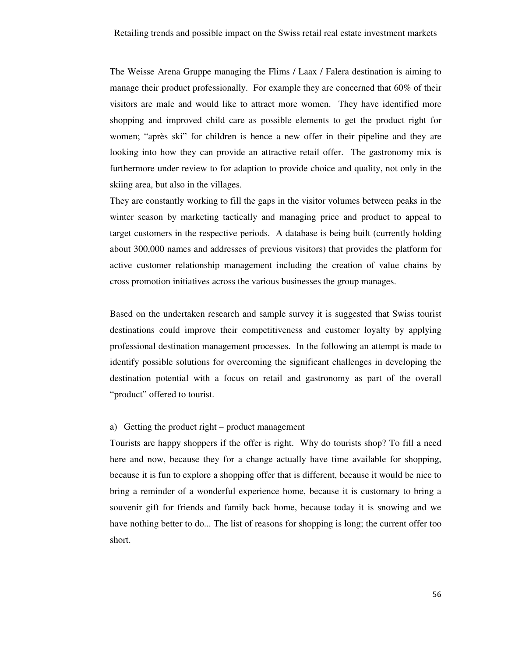The Weisse Arena Gruppe managing the Flims / Laax / Falera destination is aiming to manage their product professionally. For example they are concerned that 60% of their visitors are male and would like to attract more women. They have identified more shopping and improved child care as possible elements to get the product right for women; "après ski" for children is hence a new offer in their pipeline and they are looking into how they can provide an attractive retail offer. The gastronomy mix is furthermore under review to for adaption to provide choice and quality, not only in the skiing area, but also in the villages.

They are constantly working to fill the gaps in the visitor volumes between peaks in the winter season by marketing tactically and managing price and product to appeal to target customers in the respective periods. A database is being built (currently holding about 300,000 names and addresses of previous visitors) that provides the platform for active customer relationship management including the creation of value chains by cross promotion initiatives across the various businesses the group manages.

Based on the undertaken research and sample survey it is suggested that Swiss tourist destinations could improve their competitiveness and customer loyalty by applying professional destination management processes. In the following an attempt is made to identify possible solutions for overcoming the significant challenges in developing the destination potential with a focus on retail and gastronomy as part of the overall "product" offered to tourist.

#### a) Getting the product right – product management

Tourists are happy shoppers if the offer is right. Why do tourists shop? To fill a need here and now, because they for a change actually have time available for shopping, because it is fun to explore a shopping offer that is different, because it would be nice to bring a reminder of a wonderful experience home, because it is customary to bring a souvenir gift for friends and family back home, because today it is snowing and we have nothing better to do... The list of reasons for shopping is long; the current offer too short.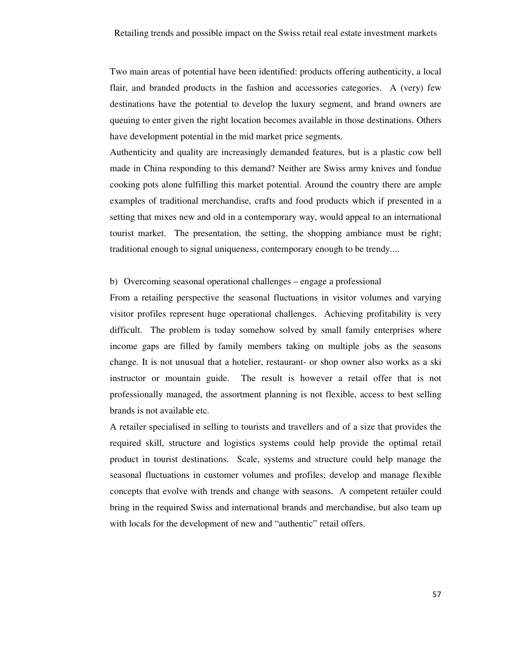Two main areas of potential have been identified: products offering authenticity, a local flair, and branded products in the fashion and accessories categories. A (very) few destinations have the potential to develop the luxury segment, and brand owners are queuing to enter given the right location becomes available in those destinations. Others have development potential in the mid market price segments.

Authenticity and quality are increasingly demanded features, but is a plastic cow bell made in China responding to this demand? Neither are Swiss army knives and fondue cooking pots alone fulfilling this market potential. Around the country there are ample examples of traditional merchandise, crafts and food products which if presented in a setting that mixes new and old in a contemporary way, would appeal to an international tourist market. The presentation, the setting, the shopping ambiance must be right; traditional enough to signal uniqueness, contemporary enough to be trendy....

#### b) Overcoming seasonal operational challenges – engage a professional

From a retailing perspective the seasonal fluctuations in visitor volumes and varying visitor profiles represent huge operational challenges. Achieving profitability is very difficult. The problem is today somehow solved by small family enterprises where income gaps are filled by family members taking on multiple jobs as the seasons change. It is not unusual that a hotelier, restaurant- or shop owner also works as a ski instructor or mountain guide. The result is however a retail offer that is not professionally managed, the assortment planning is not flexible, access to best selling brands is not available etc.

A retailer specialised in selling to tourists and travellers and of a size that provides the required skill, structure and logistics systems could help provide the optimal retail product in tourist destinations. Scale, systems and structure could help manage the seasonal fluctuations in customer volumes and profiles; develop and manage flexible concepts that evolve with trends and change with seasons. A competent retailer could bring in the required Swiss and international brands and merchandise, but also team up with locals for the development of new and "authentic" retail offers.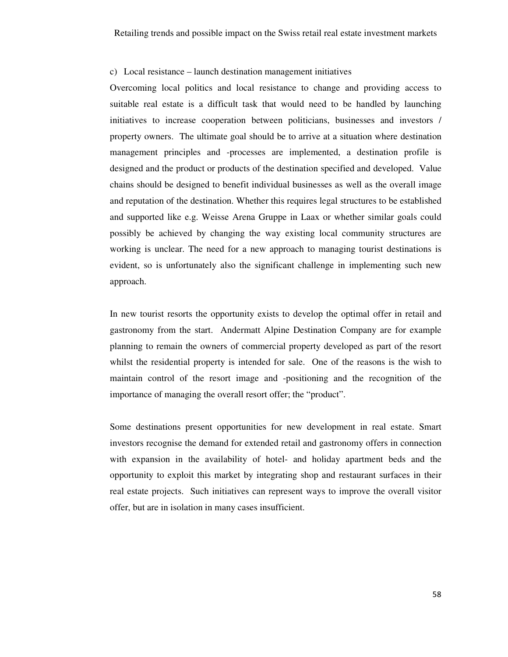#### c) Local resistance – launch destination management initiatives

Overcoming local politics and local resistance to change and providing access to suitable real estate is a difficult task that would need to be handled by launching initiatives to increase cooperation between politicians, businesses and investors / property owners. The ultimate goal should be to arrive at a situation where destination management principles and -processes are implemented, a destination profile is designed and the product or products of the destination specified and developed. Value chains should be designed to benefit individual businesses as well as the overall image and reputation of the destination. Whether this requires legal structures to be established and supported like e.g. Weisse Arena Gruppe in Laax or whether similar goals could possibly be achieved by changing the way existing local community structures are working is unclear. The need for a new approach to managing tourist destinations is evident, so is unfortunately also the significant challenge in implementing such new approach.

In new tourist resorts the opportunity exists to develop the optimal offer in retail and gastronomy from the start. Andermatt Alpine Destination Company are for example planning to remain the owners of commercial property developed as part of the resort whilst the residential property is intended for sale. One of the reasons is the wish to maintain control of the resort image and -positioning and the recognition of the importance of managing the overall resort offer; the "product".

Some destinations present opportunities for new development in real estate. Smart investors recognise the demand for extended retail and gastronomy offers in connection with expansion in the availability of hotel- and holiday apartment beds and the opportunity to exploit this market by integrating shop and restaurant surfaces in their real estate projects. Such initiatives can represent ways to improve the overall visitor offer, but are in isolation in many cases insufficient.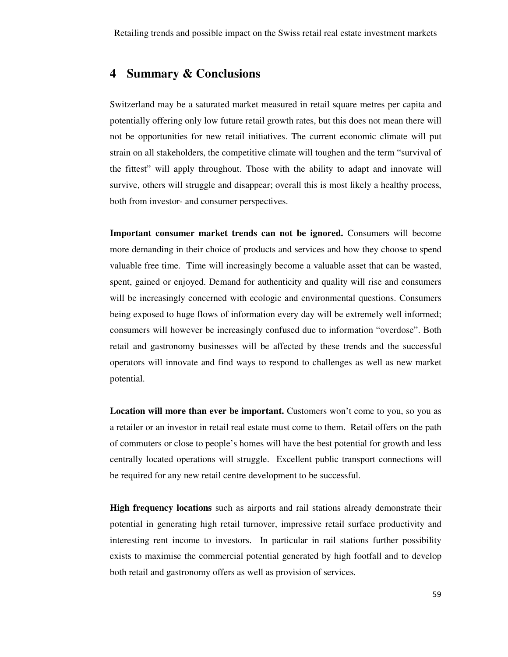# **4 Summary & Conclusions**

Switzerland may be a saturated market measured in retail square metres per capita and potentially offering only low future retail growth rates, but this does not mean there will not be opportunities for new retail initiatives. The current economic climate will put strain on all stakeholders, the competitive climate will toughen and the term "survival of the fittest" will apply throughout. Those with the ability to adapt and innovate will survive, others will struggle and disappear; overall this is most likely a healthy process, both from investor- and consumer perspectives.

**Important consumer market trends can not be ignored.** Consumers will become more demanding in their choice of products and services and how they choose to spend valuable free time. Time will increasingly become a valuable asset that can be wasted, spent, gained or enjoyed. Demand for authenticity and quality will rise and consumers will be increasingly concerned with ecologic and environmental questions. Consumers being exposed to huge flows of information every day will be extremely well informed; consumers will however be increasingly confused due to information "overdose". Both retail and gastronomy businesses will be affected by these trends and the successful operators will innovate and find ways to respond to challenges as well as new market potential.

**Location will more than ever be important.** Customers won't come to you, so you as a retailer or an investor in retail real estate must come to them. Retail offers on the path of commuters or close to people's homes will have the best potential for growth and less centrally located operations will struggle. Excellent public transport connections will be required for any new retail centre development to be successful.

**High frequency locations** such as airports and rail stations already demonstrate their potential in generating high retail turnover, impressive retail surface productivity and interesting rent income to investors. In particular in rail stations further possibility exists to maximise the commercial potential generated by high footfall and to develop both retail and gastronomy offers as well as provision of services.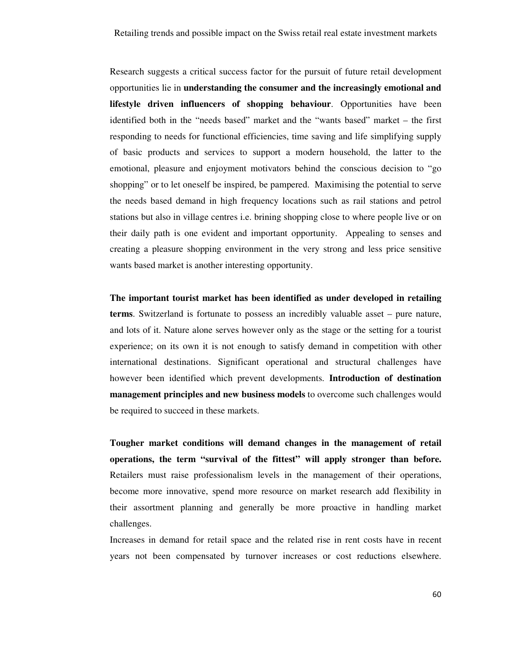Research suggests a critical success factor for the pursuit of future retail development opportunities lie in **understanding the consumer and the increasingly emotional and lifestyle driven influencers of shopping behaviour**. Opportunities have been identified both in the "needs based" market and the "wants based" market – the first responding to needs for functional efficiencies, time saving and life simplifying supply of basic products and services to support a modern household, the latter to the emotional, pleasure and enjoyment motivators behind the conscious decision to "go shopping" or to let oneself be inspired, be pampered. Maximising the potential to serve the needs based demand in high frequency locations such as rail stations and petrol stations but also in village centres i.e. brining shopping close to where people live or on their daily path is one evident and important opportunity. Appealing to senses and creating a pleasure shopping environment in the very strong and less price sensitive wants based market is another interesting opportunity.

**The important tourist market has been identified as under developed in retailing terms**. Switzerland is fortunate to possess an incredibly valuable asset – pure nature, and lots of it. Nature alone serves however only as the stage or the setting for a tourist experience; on its own it is not enough to satisfy demand in competition with other international destinations. Significant operational and structural challenges have however been identified which prevent developments. **Introduction of destination management principles and new business models** to overcome such challenges would be required to succeed in these markets.

**Tougher market conditions will demand changes in the management of retail operations, the term "survival of the fittest" will apply stronger than before.** Retailers must raise professionalism levels in the management of their operations, become more innovative, spend more resource on market research add flexibility in their assortment planning and generally be more proactive in handling market challenges.

Increases in demand for retail space and the related rise in rent costs have in recent years not been compensated by turnover increases or cost reductions elsewhere.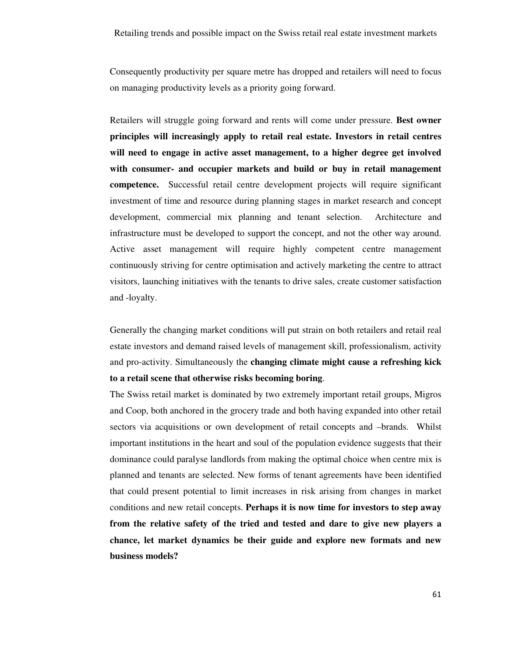Consequently productivity per square metre has dropped and retailers will need to focus on managing productivity levels as a priority going forward.

Retailers will struggle going forward and rents will come under pressure. **Best owner principles will increasingly apply to retail real estate. Investors in retail centres will need to engage in active asset management, to a higher degree get involved with consumer- and occupier markets and build or buy in retail management competence.** Successful retail centre development projects will require significant investment of time and resource during planning stages in market research and concept development, commercial mix planning and tenant selection. Architecture and infrastructure must be developed to support the concept, and not the other way around. Active asset management will require highly competent centre management continuously striving for centre optimisation and actively marketing the centre to attract visitors, launching initiatives with the tenants to drive sales, create customer satisfaction and -loyalty.

Generally the changing market conditions will put strain on both retailers and retail real estate investors and demand raised levels of management skill, professionalism, activity and pro-activity. Simultaneously the **changing climate might cause a refreshing kick to a retail scene that otherwise risks becoming boring**.

The Swiss retail market is dominated by two extremely important retail groups, Migros and Coop, both anchored in the grocery trade and both having expanded into other retail sectors via acquisitions or own development of retail concepts and –brands. Whilst important institutions in the heart and soul of the population evidence suggests that their dominance could paralyse landlords from making the optimal choice when centre mix is planned and tenants are selected. New forms of tenant agreements have been identified that could present potential to limit increases in risk arising from changes in market conditions and new retail concepts. **Perhaps it is now time for investors to step away from the relative safety of the tried and tested and dare to give new players a chance, let market dynamics be their guide and explore new formats and new business models?**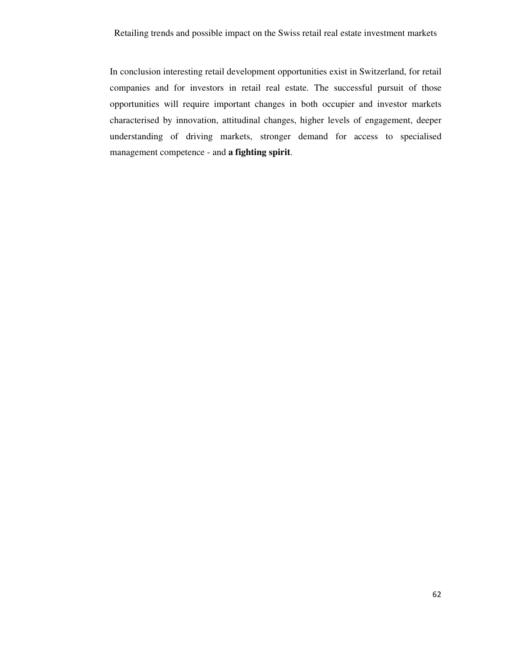In conclusion interesting retail development opportunities exist in Switzerland, for retail companies and for investors in retail real estate. The successful pursuit of those opportunities will require important changes in both occupier and investor markets characterised by innovation, attitudinal changes, higher levels of engagement, deeper understanding of driving markets, stronger demand for access to specialised management competence - and **a fighting spirit**.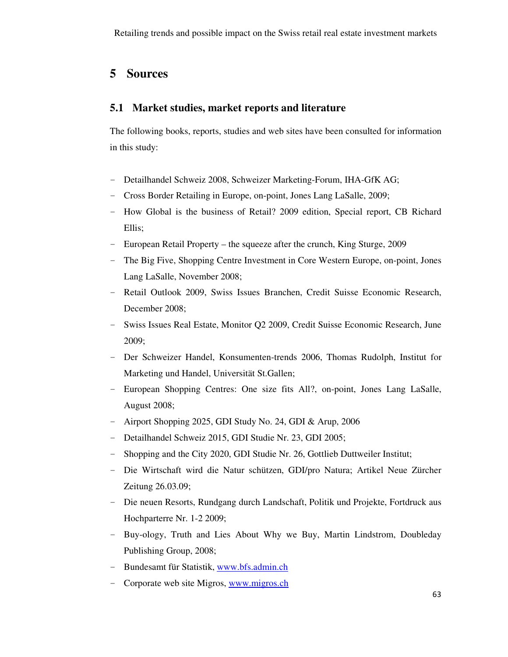# **5 Sources**

### **5.1 Market studies, market reports and literature**

The following books, reports, studies and web sites have been consulted for information in this study:

- Detailhandel Schweiz 2008, Schweizer Marketing-Forum, IHA-GfK AG;
- Cross Border Retailing in Europe, on-point, Jones Lang LaSalle, 2009;
- How Global is the business of Retail? 2009 edition, Special report, CB Richard Ellis;
- European Retail Property the squeeze after the crunch, King Sturge, 2009
- The Big Five, Shopping Centre Investment in Core Western Europe, on-point, Jones Lang LaSalle, November 2008;
- Retail Outlook 2009, Swiss Issues Branchen, Credit Suisse Economic Research, December 2008;
- Swiss Issues Real Estate, Monitor Q2 2009, Credit Suisse Economic Research, June 2009;
- Der Schweizer Handel, Konsumenten-trends 2006, Thomas Rudolph, Institut for Marketing und Handel, Universität St.Gallen;
- European Shopping Centres: One size fits All?, on-point, Jones Lang LaSalle, August 2008;
- Airport Shopping 2025, GDI Study No. 24, GDI & Arup, 2006
- Detailhandel Schweiz 2015, GDI Studie Nr. 23, GDI 2005;
- Shopping and the City 2020, GDI Studie Nr. 26, Gottlieb Duttweiler Institut;
- Die Wirtschaft wird die Natur schützen, GDI/pro Natura; Artikel Neue Zürcher Zeitung 26.03.09;
- Die neuen Resorts, Rundgang durch Landschaft, Politik und Projekte, Fortdruck aus Hochparterre Nr. 1-2 2009;
- Buy-ology, Truth and Lies About Why we Buy, Martin Lindstrom, Doubleday Publishing Group, 2008;
- Bundesamt für Statistik, www.bfs.admin.ch
- Corporate web site Migros, www.migros.ch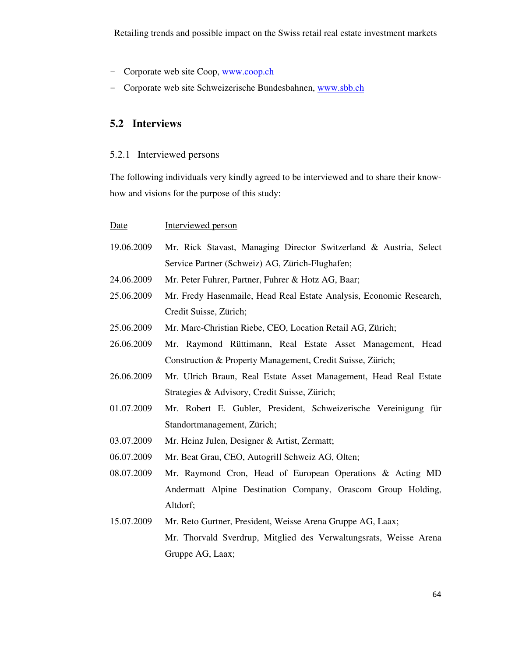- Corporate web site Coop, www.coop.ch
- Corporate web site Schweizerische Bundesbahnen, www.sbb.ch

## **5.2 Interviews**

### 5.2.1 Interviewed persons

The following individuals very kindly agreed to be interviewed and to share their knowhow and visions for the purpose of this study:

### Date Interviewed person

- 19.06.2009 Mr. Rick Stavast, Managing Director Switzerland & Austria, Select Service Partner (Schweiz) AG, Zürich-Flughafen;
- 24.06.2009 Mr. Peter Fuhrer, Partner, Fuhrer & Hotz AG, Baar;
- 25.06.2009 Mr. Fredy Hasenmaile, Head Real Estate Analysis, Economic Research, Credit Suisse, Zürich;
- 25.06.2009 Mr. Marc-Christian Riebe, CEO, Location Retail AG, Zürich;
- 26.06.2009 Mr. Raymond Rüttimann, Real Estate Asset Management, Head Construction & Property Management, Credit Suisse, Zürich;
- 26.06.2009 Mr. Ulrich Braun, Real Estate Asset Management, Head Real Estate Strategies & Advisory, Credit Suisse, Zürich;
- 01.07.2009 Mr. Robert E. Gubler, President, Schweizerische Vereinigung für Standortmanagement, Zürich;
- 03.07.2009 Mr. Heinz Julen, Designer & Artist, Zermatt;
- 06.07.2009 Mr. Beat Grau, CEO, Autogrill Schweiz AG, Olten;
- 08.07.2009 Mr. Raymond Cron, Head of European Operations & Acting MD Andermatt Alpine Destination Company, Orascom Group Holding, Altdorf;
- 15.07.2009 Mr. Reto Gurtner, President, Weisse Arena Gruppe AG, Laax; Mr. Thorvald Sverdrup, Mitglied des Verwaltungsrats, Weisse Arena Gruppe AG, Laax;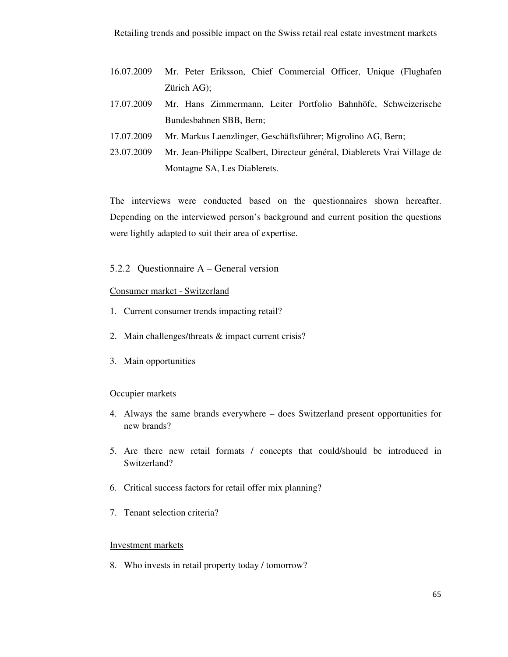- 16.07.2009 Mr. Peter Eriksson, Chief Commercial Officer, Unique (Flughafen Zürich AG);
- 17.07.2009 Mr. Hans Zimmermann, Leiter Portfolio Bahnhöfe, Schweizerische Bundesbahnen SBB, Bern;
- 17.07.2009 Mr. Markus Laenzlinger, Geschäftsführer; Migrolino AG, Bern;
- 23.07.2009 Mr. Jean-Philippe Scalbert, Directeur général, Diablerets Vrai Village de Montagne SA, Les Diablerets.

The interviews were conducted based on the questionnaires shown hereafter. Depending on the interviewed person's background and current position the questions were lightly adapted to suit their area of expertise.

### 5.2.2 Questionnaire A – General version

### Consumer market - Switzerland

- 1. Current consumer trends impacting retail?
- 2. Main challenges/threats & impact current crisis?
- 3. Main opportunities

### Occupier markets

- 4. Always the same brands everywhere does Switzerland present opportunities for new brands?
- 5. Are there new retail formats / concepts that could/should be introduced in Switzerland?
- 6. Critical success factors for retail offer mix planning?
- 7. Tenant selection criteria?

### Investment markets

8. Who invests in retail property today / tomorrow?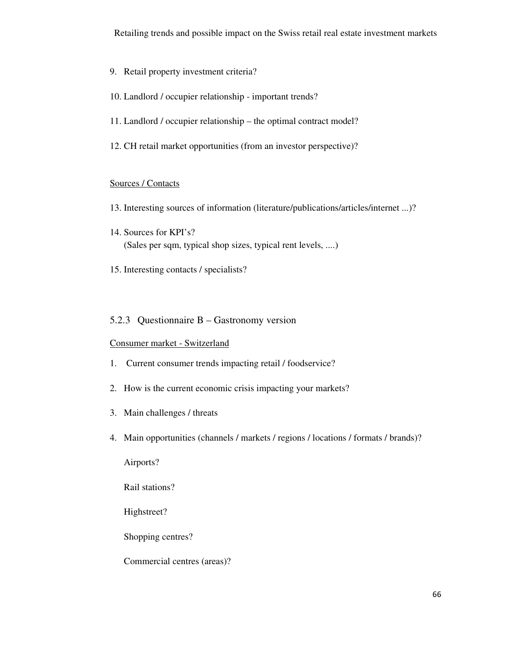- 9. Retail property investment criteria?
- 10. Landlord / occupier relationship important trends?
- 11. Landlord / occupier relationship the optimal contract model?
- 12. CH retail market opportunities (from an investor perspective)?

### Sources / Contacts

- 13. Interesting sources of information (literature/publications/articles/internet ...)?
- 14. Sources for KPI's? (Sales per sqm, typical shop sizes, typical rent levels, ....)
- 15. Interesting contacts / specialists?

### 5.2.3 Questionnaire B – Gastronomy version

### Consumer market - Switzerland

- 1. Current consumer trends impacting retail / foodservice?
- 2. How is the current economic crisis impacting your markets?
- 3. Main challenges / threats
- 4. Main opportunities (channels / markets / regions / locations / formats / brands)?

Airports?

Rail stations?

Highstreet?

Shopping centres?

Commercial centres (areas)?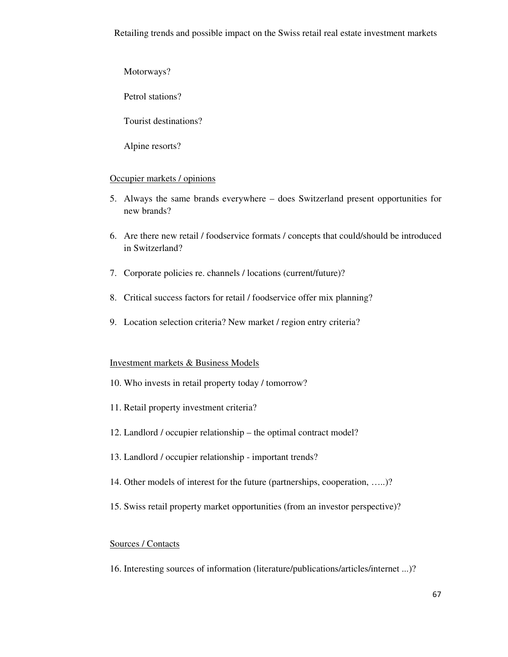Motorways?

Petrol stations?

Tourist destinations?

Alpine resorts?

### Occupier markets / opinions

- 5. Always the same brands everywhere does Switzerland present opportunities for new brands?
- 6. Are there new retail / foodservice formats / concepts that could/should be introduced in Switzerland?
- 7. Corporate policies re. channels / locations (current/future)?
- 8. Critical success factors for retail / foodservice offer mix planning?
- 9. Location selection criteria? New market / region entry criteria?

### Investment markets & Business Models

- 10. Who invests in retail property today / tomorrow?
- 11. Retail property investment criteria?
- 12. Landlord / occupier relationship the optimal contract model?
- 13. Landlord / occupier relationship important trends?
- 14. Other models of interest for the future (partnerships, cooperation, …..)?
- 15. Swiss retail property market opportunities (from an investor perspective)?

### Sources / Contacts

16. Interesting sources of information (literature/publications/articles/internet ...)?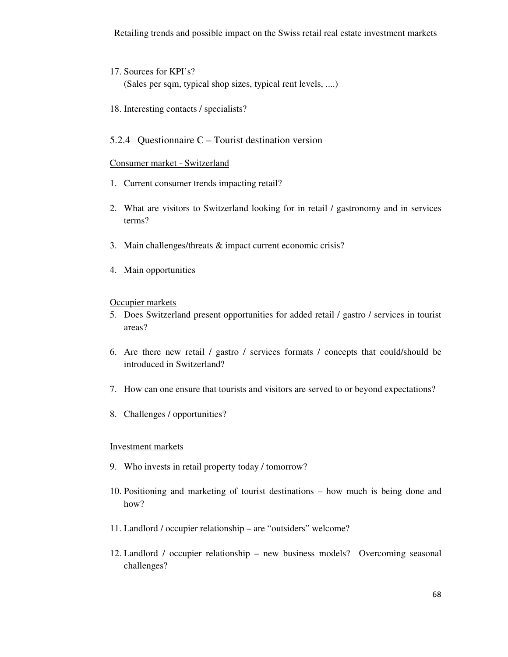- 17. Sources for KPI's? (Sales per sqm, typical shop sizes, typical rent levels, ....)
- 18. Interesting contacts / specialists?

### 5.2.4 Questionnaire C – Tourist destination version

### Consumer market - Switzerland

- 1. Current consumer trends impacting retail?
- 2. What are visitors to Switzerland looking for in retail / gastronomy and in services terms?
- 3. Main challenges/threats & impact current economic crisis?
- 4. Main opportunities

### Occupier markets

- 5. Does Switzerland present opportunities for added retail / gastro / services in tourist areas?
- 6. Are there new retail / gastro / services formats / concepts that could/should be introduced in Switzerland?
- 7. How can one ensure that tourists and visitors are served to or beyond expectations?
- 8. Challenges / opportunities?

### Investment markets

- 9. Who invests in retail property today / tomorrow?
- 10. Positioning and marketing of tourist destinations how much is being done and how?
- 11. Landlord / occupier relationship are "outsiders" welcome?
- 12. Landlord / occupier relationship new business models? Overcoming seasonal challenges?